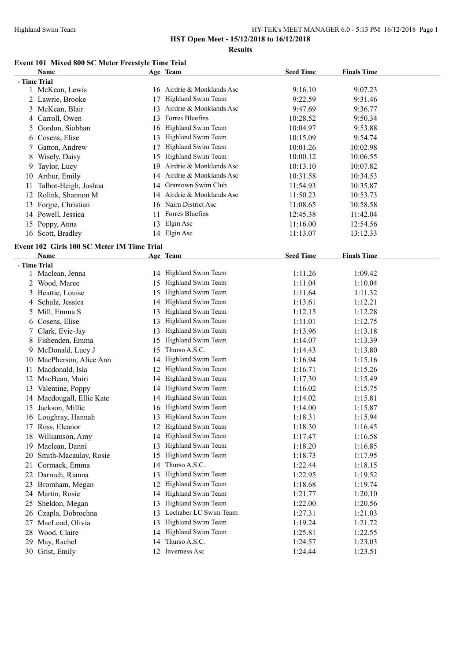**Results**

# **Event 101 Mixed 800 SC Meter Freestyle Time Trial**

|              | <b>Name</b>                                |    | Age Team                   | <b>Seed Time</b> | <b>Finals Time</b> |  |
|--------------|--------------------------------------------|----|----------------------------|------------------|--------------------|--|
| - Time Trial |                                            |    |                            |                  |                    |  |
|              | 1 McKean, Lewis                            |    | 16 Airdrie & Monklands Asc | 9:16.10          | 9:07.23            |  |
|              | 2 Lawrie, Brooke                           | 17 | Highland Swim Team         | 9:22.59          | 9:31.46            |  |
|              | 3 McKean, Blair                            | 13 | Airdrie & Monklands Asc    | 9:47.69          | 9:36.77            |  |
|              | 4 Carroll, Owen                            | 13 | Forres Bluefins            | 10:28.52         | 9:50.34            |  |
| 5            | Gordon, Siobhan                            | 16 | Highland Swim Team         | 10:04.97         | 9:53.88            |  |
|              | 6 Cosens, Elise                            | 13 | Highland Swim Team         | 10:15.09         | 9:54.74            |  |
| 7            | Gatton, Andrew                             | 17 | Highland Swim Team         | 10:01.26         | 10:02.98           |  |
| 8            | Wisely, Daisy                              | 15 | Highland Swim Team         | 10:00.12         | 10:06.55           |  |
| 9            | Taylor, Lucy                               | 19 | Airdrie & Monklands Asc    | 10:13.10         | 10:07.82           |  |
| 10           | Arthur, Emily                              | 14 | Airdrie & Monklands Asc    | 10:31.58         | 10:34.53           |  |
| 11           | Talbot-Heigh, Joshua                       | 14 | Grantown Swim Club         | 11:54.93         | 10:35.87           |  |
| 12           | Rolink, Shannon M                          | 14 | Airdrie & Monklands Asc    | 11:50.23         | 10:53.73           |  |
|              | 13 Forgie, Christian                       | 16 | Nairn District Asc         | 11:08.65         | 10:58.58           |  |
| 14           | Powell, Jessica                            | 11 | Forres Bluefins            | 12:45.38         | 11:42.04           |  |
| 15           | Poppy, Anna                                | 13 | Elgin Asc                  | 11:16.00         | 12:54.56           |  |
|              | 16 Scott, Bradley                          |    | 14 Elgin Asc               | 11:13.07         | 13:12.33           |  |
|              | Event 102 Girls 100 SC Meter IM Time Trial |    |                            |                  |                    |  |
|              | <b>Name</b>                                |    | Age Team                   | <b>Seed Time</b> | <b>Finals Time</b> |  |
| - Time Trial |                                            |    |                            |                  |                    |  |
|              | 1 Maclean, Jenna                           |    | 14 Highland Swim Team      | 1:11.26          | 1:09.42            |  |
|              | 2 Wood, Maree                              | 15 | Highland Swim Team         | 1:11.04          | 1:10.04            |  |
| 3            | Beattie, Louise                            | 15 | Highland Swim Team         | 1:11.64          | 1:11.32            |  |
| 4            | Schulz, Jessica                            | 14 | Highland Swim Team         | 1:13.61          | 1:12.21            |  |
| 5            | Mill, Emma S                               | 13 | Highland Swim Team         | 1:12.15          | 1:12.28            |  |
|              | 6 Cosens, Elise                            | 13 | Highland Swim Team         | 1:11.01          | 1:12.75            |  |
| 7            | Clark, Evie-Jay                            | 13 | Highland Swim Team         | 1:13.96          | 1:13.18            |  |
| 8            | Fishenden, Emma                            | 15 | Highland Swim Team         | 1:14.07          | 1:13.39            |  |
| 9            | McDonald, Lucy J                           | 15 | Thurso A.S.C.              | 1:14.43          | 1:13.80            |  |
| 10           | MacPherson, Alice Ann                      | 14 | Highland Swim Team         | 1:16.94          | 1:15.16            |  |
| 11           | Macdonald, Isla                            | 12 | Highland Swim Team         | 1:16.71          | 1:15.26            |  |
|              | 12 MacBean, Mairi                          | 14 | Highland Swim Team         | 1:17.30          | 1:15.49            |  |
| 13           | Valentine, Poppy                           | 14 | Highland Swim Team         | 1:16.02          | 1:15.75            |  |
| 14           | Macdougall, Ellie Kate                     | 14 | Highland Swim Team         | 1:14.02          | 1:15.81            |  |
| 15           | Jackson, Millie                            | 16 | Highland Swim Team         | 1:14.00          | 1:15.87            |  |
|              | 16 Loughray, Hannah                        |    | 13 Highland Swim Team      | 1:18.31          | 1:15.94            |  |
|              | 17 Ross, Eleanor                           |    | 12 Highland Swim Team      | 1:18.30          | 1:16.45            |  |
|              | 18 Williamson, Amy                         | 14 | Highland Swim Team         | 1:17.47          | 1:16.58            |  |
|              | 19 Maclean, Danni                          | 13 | Highland Swim Team         | 1:18.20          | 1:16.85            |  |
| 20           | Smith-Macaulay, Rosie                      | 15 | Highland Swim Team         | 1:18.73          | 1:17.95            |  |
| 21           | Cormack, Emma                              | 14 | Thurso A.S.C.              | 1:22.44          | 1:18.15            |  |
| 22           | Darroch, Rianna                            | 13 | Highland Swim Team         | 1:22.95          | 1:19.52            |  |
| 23           | Bromham, Megan                             | 12 | Highland Swim Team         | 1:18.68          | 1:19.74            |  |
|              | 24 Martin, Rosie                           | 14 | Highland Swim Team         | 1:21.77          | 1:20.10            |  |
| 25           | Sheldon, Megan                             | 13 | Highland Swim Team         | 1:22.00          | 1:20.56            |  |
|              | 26 Czapla, Dobrochna                       | 13 | Lochaber LC Swim Team      | 1:27.31          | 1:21.03            |  |
| 27           | MacLeod, Olivia                            | 13 | Highland Swim Team         | 1:19.24          | 1:21.72            |  |
|              | 28 Wood, Claire                            | 14 | Highland Swim Team         | 1:25.81          | 1:22.55            |  |
|              | 29 May, Rachel                             | 14 | Thurso A.S.C.              | 1:24.57          | 1:23.03            |  |
|              | 30 Grist, Emily                            |    | 12 Inverness Asc           | 1:24.44          | 1:23.51            |  |
|              |                                            |    |                            |                  |                    |  |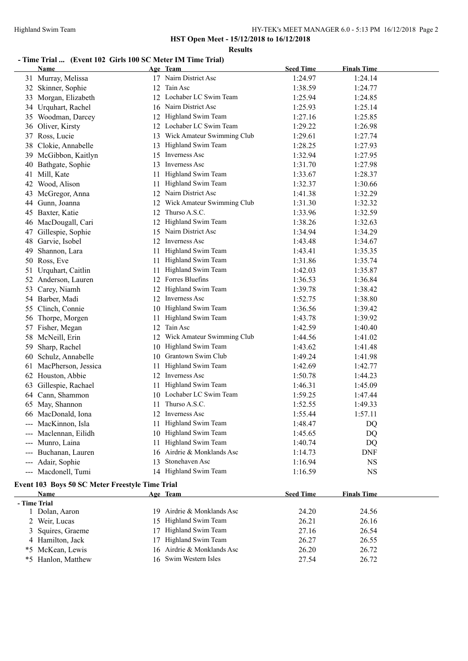**Results**

# **- Time Trial ... (Event 102 Girls 100 SC Meter IM Time Trial)**

|                     | <b>Name</b>                                     |     | Age Team                      | <b>Seed Time</b> | <b>Finals Time</b> |
|---------------------|-------------------------------------------------|-----|-------------------------------|------------------|--------------------|
|                     | 31 Murray, Melissa                              |     | 17 Nairn District Asc         | 1:24.97          | 1:24.14            |
|                     | 32 Skinner, Sophie                              | 12  | Tain Asc                      | 1:38.59          | 1:24.77            |
| 33                  | Morgan, Elizabeth                               |     | 12 Lochaber LC Swim Team      | 1:25.94          | 1:24.85            |
|                     | 34 Urquhart, Rachel                             |     | 16 Nairn District Asc         | 1:25.93          | 1:25.14            |
| 35                  | Woodman, Darcey                                 |     | 12 Highland Swim Team         | 1:27.16          | 1:25.85            |
|                     | 36 Oliver, Kirsty                               |     | 12 Lochaber LC Swim Team      | 1:29.22          | 1:26.98            |
| 37                  | Ross, Lucie                                     | 13  | Wick Amateur Swimming Club    | 1:29.61          | 1:27.74            |
| 38                  | Clokie, Annabelle                               | 13  | Highland Swim Team            | 1:28.25          | 1:27.93            |
| 39                  | McGibbon, Kaitlyn                               | 15  | Inverness Asc                 | 1:32.94          | 1:27.95            |
| 40                  | Bathgate, Sophie                                | 13  | <b>Inverness Asc</b>          | 1:31.70          | 1:27.98            |
|                     | 41 Mill, Kate                                   | 11  | Highland Swim Team            | 1:33.67          | 1:28.37            |
| 42                  | Wood, Alison                                    | 11. | Highland Swim Team            | 1:32.37          | 1:30.66            |
| 43                  | McGregor, Anna                                  | 12  | Nairn District Asc            | 1:41.38          | 1:32.29            |
| 44                  | Gunn, Joanna                                    |     | 12 Wick Amateur Swimming Club | 1:31.30          | 1:32.32            |
|                     | 45 Baxter, Katie                                | 12  | Thurso A.S.C.                 | 1:33.96          | 1:32.59            |
|                     | 46 MacDougall, Cari                             |     | 12 Highland Swim Team         | 1:38.26          | 1:32.63            |
|                     | 47 Gillespie, Sophie                            |     | 15 Nairn District Asc         | 1:34.94          | 1:34.29            |
| 48                  | Garvie, Isobel                                  |     | 12 Inverness Asc              | 1:43.48          | 1:34.67            |
| 49                  | Shannon, Lara                                   | 11  | Highland Swim Team            | 1:43.41          | 1:35.35            |
| 50                  | Ross, Eve                                       | 11  | Highland Swim Team            | 1:31.86          | 1:35.74            |
| 51                  | Urquhart, Caitlin                               | 11  | Highland Swim Team            | 1:42.03          | 1:35.87            |
|                     | 52 Anderson, Lauren                             |     | 12 Forres Bluefins            | 1:36.53          | 1:36.84            |
|                     | 53 Carey, Niamh                                 | 12  | Highland Swim Team            | 1:39.78          | 1:38.42            |
|                     | 54 Barber, Madi                                 |     | 12 Inverness Asc              | 1:52.75          | 1:38.80            |
|                     | 55 Clinch, Connie                               | 10  | Highland Swim Team            | 1:36.56          | 1:39.42            |
|                     | 56 Thorpe, Morgen                               | 11  | Highland Swim Team            | 1:43.78          | 1:39.92            |
|                     | 57 Fisher, Megan                                | 12  | Tain Asc                      | 1:42.59          | 1:40.40            |
|                     | 58 McNeill, Erin                                |     | 12 Wick Amateur Swimming Club | 1:44.56          | 1:41.02            |
| 59                  | Sharp, Rachel                                   |     | 10 Highland Swim Team         | 1:43.62          | 1:41.48            |
| 60                  | Schulz, Annabelle                               |     | 10 Grantown Swim Club         | 1:49.24          | 1:41.98            |
| 61                  | MacPherson, Jessica                             |     | 11 Highland Swim Team         | 1:42.69          | 1:42.77            |
|                     | 62 Houston, Abbie                               |     | 12 Inverness Asc              | 1:50.78          | 1:44.23            |
| 63                  | Gillespie, Rachael                              |     | 11 Highland Swim Team         | 1:46.31          | 1:45.09            |
|                     | 64 Cann, Shammon                                |     | 10 Lochaber LC Swim Team      | 1:59.25          | 1:47.44            |
| 65                  | May, Shannon                                    | 11  | Thurso A.S.C.                 | 1:52.55          | 1:49.33            |
|                     | 66 MacDonald, Iona                              |     | 12 Inverness Asc              | 1:55.44          | 1:57.11            |
|                     | --- MacKinnon, Isla                             |     | 11 Highland Swim Team         | 1:48.47          | DQ                 |
|                     | Maclennan, Eilidh                               |     | 10 Highland Swim Team         | 1:45.65          | DQ                 |
|                     | Munro, Laina                                    | 11. | Highland Swim Team            | 1:40.74          | DQ                 |
|                     | Buchanan, Lauren                                | 16  | Airdrie & Monklands Asc       | 1:14.73          | DNF                |
| $\qquad \qquad - -$ | Adair, Sophie                                   | 13  | Stonehaven Asc                | 1:16.94          | <b>NS</b>          |
|                     | --- Macdonell, Tumi                             |     | 14 Highland Swim Team         | 1:16.59          | <b>NS</b>          |
|                     | Event 103 Boys 50 SC Meter Freestyle Time Trial |     |                               |                  |                    |
|                     | <b>Name</b>                                     |     | Age Team                      | <b>Seed Time</b> | <b>Finals Time</b> |
| . Time Trial        |                                                 |     |                               |                  |                    |

| $\mathbf{1}$       |  | ovva imi                                                                                                                                                                 | тицаю типе |
|--------------------|--|--------------------------------------------------------------------------------------------------------------------------------------------------------------------------|------------|
| - Time Trial       |  |                                                                                                                                                                          |            |
| Dolan, Aaron       |  | 24.20                                                                                                                                                                    | 24.56      |
| 2 Weir, Lucas      |  | 26.21                                                                                                                                                                    | 26.16      |
| 3 Squires, Graeme  |  | 27.16                                                                                                                                                                    | 26.54      |
| 4 Hamilton, Jack   |  | 26.27                                                                                                                                                                    | 26.55      |
| *5 McKean, Lewis   |  | 26.20                                                                                                                                                                    | 26.72      |
| *5 Hanlon, Matthew |  | 27.54                                                                                                                                                                    | 26.72      |
|                    |  | лес теаш<br>19 Airdrie & Monklands Asc<br>15 Highland Swim Team<br>17 Highland Swim Team<br>17 Highland Swim Team<br>16 Airdrie & Monklands Asc<br>16 Swim Western Isles |            |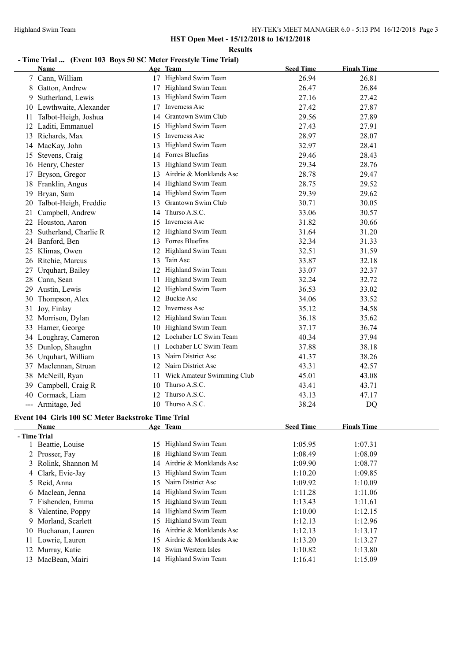**Results**

# **- Time Trial ... (Event 103 Boys 50 SC Meter Freestyle Time Trial)**

|              | Name                                               |     | Age Team                   | <b>Seed Time</b> | <b>Finals Time</b> |  |
|--------------|----------------------------------------------------|-----|----------------------------|------------------|--------------------|--|
|              | 7 Cann, William                                    |     | 17 Highland Swim Team      | 26.94            | 26.81              |  |
|              | 8 Gatton, Andrew                                   |     | 17 Highland Swim Team      | 26.47            | 26.84              |  |
| 9.           | Sutherland, Lewis                                  |     | 13 Highland Swim Team      | 27.16            | 27.42              |  |
|              | 10 Lewthwaite, Alexander                           | 17  | Inverness Asc              | 27.42            | 27.87              |  |
|              | 11 Talbot-Heigh, Joshua                            | 14  | Grantown Swim Club         | 29.56            | 27.89              |  |
|              | 12 Laditi, Emmanuel                                |     | 15 Highland Swim Team      | 27.43            | 27.91              |  |
|              | 13 Richards, Max                                   |     | 15 Inverness Asc           | 28.97            | 28.07              |  |
|              | 14 MacKay, John                                    |     | 13 Highland Swim Team      | 32.97            | 28.41              |  |
|              | 15 Stevens, Craig                                  |     | 14 Forres Bluefins         | 29.46            | 28.43              |  |
|              | 16 Henry, Chester                                  |     | 13 Highland Swim Team      | 29.34            | 28.76              |  |
|              | 17 Bryson, Gregor                                  | 13  | Airdrie & Monklands Asc    | 28.78            | 29.47              |  |
|              | 18 Franklin, Angus                                 | 14  | Highland Swim Team         | 28.75            | 29.52              |  |
| 19           | Bryan, Sam                                         | 14  | Highland Swim Team         | 29.39            | 29.62              |  |
| 20           | Talbot-Heigh, Freddie                              | 13  | Grantown Swim Club         | 30.71            | 30.05              |  |
| 21           | Campbell, Andrew                                   | 14  | Thurso A.S.C.              | 33.06            | 30.57              |  |
|              | 22 Houston, Aaron                                  |     | 15 Inverness Asc           | 31.82            | 30.66              |  |
| 23           | Sutherland, Charlie R                              |     | 12 Highland Swim Team      | 31.64            | 31.20              |  |
|              | 24 Banford, Ben                                    |     | 13 Forres Bluefins         | 32.34            | 31.33              |  |
|              | 25 Klimas, Owen                                    |     | 12 Highland Swim Team      | 32.51            | 31.59              |  |
|              | 26 Ritchie, Marcus                                 |     | 13 Tain Asc                | 33.87            | 32.18              |  |
|              | 27 Urquhart, Bailey                                |     | 12 Highland Swim Team      | 33.07            | 32.37              |  |
|              | 28 Cann, Sean                                      |     | 11 Highland Swim Team      | 32.24            | 32.72              |  |
|              | 29 Austin, Lewis                                   |     | 12 Highland Swim Team      | 36.53            | 33.02              |  |
|              | 30 Thompson, Alex                                  |     | 12 Buckie Asc              | 34.06            | 33.52              |  |
| 31           | Joy, Finlay                                        |     | 12 Inverness Asc           | 35.12            | 34.58              |  |
|              | 32 Morrison, Dylan                                 |     | 12 Highland Swim Team      | 36.18            | 35.62              |  |
|              | 33 Hamer, George                                   |     | 10 Highland Swim Team      | 37.17            | 36.74              |  |
|              | 34 Loughray, Cameron                               |     | 12 Lochaber LC Swim Team   | 40.34            | 37.94              |  |
|              | 35 Dunlop, Shaughn                                 | 11  | Lochaber LC Swim Team      | 37.88            | 38.18              |  |
|              | 36 Urquhart, William                               |     | 13 Nairn District Asc      | 41.37            | 38.26              |  |
|              | 37 Maclennan, Struan                               |     | 12 Nairn District Asc      | 43.31            | 42.57              |  |
|              | 38 McNeill, Ryan                                   | 11- | Wick Amateur Swimming Club | 45.01            | 43.08              |  |
|              | 39 Campbell, Craig R                               |     | 10 Thurso A.S.C.           | 43.41            | 43.71              |  |
| 40           | Cormack, Liam                                      |     | 12 Thurso A.S.C.           | 43.13            | 47.17              |  |
|              | --- Armitage, Jed                                  |     | 10 Thurso A.S.C.           | 38.24            | DQ                 |  |
|              | Event 104 Girls 100 SC Meter Backstroke Time Trial |     |                            |                  |                    |  |
|              | Name                                               |     | Age Team                   | <b>Seed Time</b> | <b>Finals Time</b> |  |
| - Time Trial |                                                    |     |                            |                  |                    |  |
|              | Beattie, Louise                                    |     | 15 Highland Swim Team      | 1:05.95          | 1:07.31            |  |

|     | - Time Trial        |     |                            |         |         |
|-----|---------------------|-----|----------------------------|---------|---------|
|     | Beattie, Louise     |     | 15 Highland Swim Team      | 1:05.95 | 1:07.31 |
|     | 2 Prosser, Fay      |     | 18 Highland Swim Team      | 1:08.49 | 1:08.09 |
|     | 3 Rolink, Shannon M |     | 14 Airdrie & Monklands Asc | 1:09.90 | 1:08.77 |
|     | 4 Clark, Evie-Jay   |     | 13 Highland Swim Team      | 1:10.20 | 1:09.85 |
|     | 5 Reid, Anna        | 15. | Nairn District Asc         | 1:09.92 | 1:10.09 |
|     | 6 Maclean, Jenna    |     | 14 Highland Swim Team      | 1:11.28 | 1:11.06 |
|     | 7 Fishenden, Emma   |     | 15 Highland Swim Team      | 1:13.43 | 1:11.61 |
|     | 8 Valentine, Poppy  |     | 14 Highland Swim Team      | 1:10.00 | 1:12.15 |
| 9   | Morland, Scarlett   |     | 15 Highland Swim Team      | 1:12.13 | 1:12.96 |
|     | 10 Buchanan, Lauren |     | 16 Airdrie & Monklands Asc | 1:12.13 | 1:13.17 |
|     | 11 Lowrie, Lauren   | 15. | Airdrie & Monklands Asc    | 1:13.20 | 1:13.27 |
|     | 12 Murray, Katie    | 18. | Swim Western Isles         | 1:10.82 | 1:13.80 |
| 13. | MacBean, Mairi      |     | 14 Highland Swim Team      | 1:16.41 | 1:15.09 |
|     |                     |     |                            |         |         |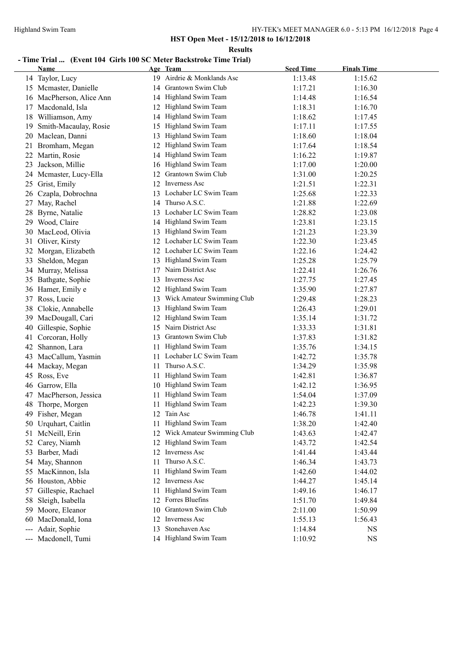**Results**

# **- Time Trial ... (Event 104 Girls 100 SC Meter Backstroke Time Trial)**

|                            | Name                     |     | Age Team                      | <b>Seed Time</b> | <b>Finals Time</b> |  |
|----------------------------|--------------------------|-----|-------------------------------|------------------|--------------------|--|
|                            | 14 Taylor, Lucy          |     | 19 Airdrie & Monklands Asc    | 1:13.48          | 1:15.62            |  |
|                            | 15 Mcmaster, Danielle    | 14  | Grantown Swim Club            | 1:17.21          | 1:16.30            |  |
|                            | 16 MacPherson, Alice Ann | 14  | Highland Swim Team            | 1:14.48          | 1:16.54            |  |
|                            | 17 Macdonald, Isla       | 12  | Highland Swim Team            | 1:18.31          | 1:16.70            |  |
| 18                         | Williamson, Amy          | 14  | Highland Swim Team            | 1:18.62          | 1:17.45            |  |
| 19                         | Smith-Macaulay, Rosie    | 15  | Highland Swim Team            | 1:17.11          | 1:17.55            |  |
|                            | 20 Maclean, Danni        | 13  | Highland Swim Team            | 1:18.60          | 1:18.04            |  |
|                            | 21 Bromham, Megan        |     | Highland Swim Team            | 1:17.64          | 1:18.54            |  |
| 22                         | Martin, Rosie            | 14  | Highland Swim Team            | 1:16.22          | 1:19.87            |  |
| 23                         | Jackson, Millie          |     | 16 Highland Swim Team         | 1:17.00          | 1:20.00            |  |
|                            | 24 Mcmaster, Lucy-Ella   | 12  | Grantown Swim Club            | 1:31.00          | 1:20.25            |  |
| 25                         | Grist, Emily             |     | 12 Inverness Asc              | 1:21.51          | 1:22.31            |  |
|                            | 26 Czapla, Dobrochna     |     | 13 Lochaber LC Swim Team      | 1:25.68          | 1:22.33            |  |
|                            | 27 May, Rachel           |     | 14 Thurso A.S.C.              | 1:21.88          | 1:22.69            |  |
|                            | 28 Byrne, Natalie        |     | 13 Lochaber LC Swim Team      | 1:28.82          | 1:23.08            |  |
|                            | 29 Wood, Claire          |     | 14 Highland Swim Team         | 1:23.81          | 1:23.15            |  |
|                            | 30 MacLeod, Olivia       |     | 13 Highland Swim Team         | 1:21.23          | 1:23.39            |  |
| 31                         | Oliver, Kirsty           |     | 12 Lochaber LC Swim Team      | 1:22.30          | 1:23.45            |  |
|                            | 32 Morgan, Elizabeth     |     | 12 Lochaber LC Swim Team      | 1:22.16          | 1:24.42            |  |
| 33                         | Sheldon, Megan           |     | 13 Highland Swim Team         | 1:25.28          | 1:25.79            |  |
|                            | 34 Murray, Melissa       | 17  | Nairn District Asc            | 1:22.41          | 1:26.76            |  |
|                            | 35 Bathgate, Sophie      |     | 13 Inverness Asc              | 1:27.75          | 1:27.45            |  |
|                            | 36 Hamer, Emily e        |     | 12 Highland Swim Team         | 1:35.90          | 1:27.87            |  |
|                            | 37 Ross, Lucie           |     | 13 Wick Amateur Swimming Club | 1:29.48          | 1:28.23            |  |
|                            | 38 Clokie, Annabelle     | 13  | Highland Swim Team            | 1:26.43          | 1:29.01            |  |
|                            | 39 MacDougall, Cari      | 12  | Highland Swim Team            | 1:35.14          | 1:31.72            |  |
|                            | 40 Gillespie, Sophie     | 15  | Nairn District Asc            | 1:33.33          | 1:31.81            |  |
| 41                         | Corcoran, Holly          |     | 13 Grantown Swim Club         | 1:37.83          | 1:31.82            |  |
|                            | 42 Shannon, Lara         |     | 11 Highland Swim Team         | 1:35.76          | 1:34.15            |  |
|                            | 43 MacCallum, Yasmin     |     | 11 Lochaber LC Swim Team      | 1:42.72          | 1:35.78            |  |
|                            | 44 Mackay, Megan         |     | 11 Thurso A.S.C.              | 1:34.29          | 1:35.98            |  |
|                            | 45 Ross, Eve             | 11. | Highland Swim Team            | 1:42.81          | 1:36.87            |  |
|                            | 46 Garrow, Ella          |     | 10 Highland Swim Team         | 1:42.12          | 1:36.95            |  |
|                            | 47 MacPherson, Jessica   | 11  | Highland Swim Team            | 1:54.04          | 1:37.09            |  |
|                            | 48 Thorpe, Morgen        |     | Highland Swim Team            | 1:42.23          | 1:39.30            |  |
|                            | 49 Fisher, Megan         |     | 12 Tain Asc                   | 1:46.78          | 1:41.11            |  |
|                            | 50 Urquhart, Caitlin     |     | 11 Highland Swim Team         | 1:38.20          | 1:42.40            |  |
| 51                         | McNeill, Erin            |     | Wick Amateur Swimming Club    | 1:43.63          | 1:42.47            |  |
| 52                         | Carey, Niamh             | 12  | Highland Swim Team            | 1:43.72          | 1:42.54            |  |
|                            | 53 Barber, Madi          | 12  | Inverness Asc                 | 1:41.44          | 1:43.44            |  |
|                            | 54 May, Shannon          | 11  | Thurso A.S.C.                 | 1:46.34          | 1:43.73            |  |
|                            | 55 MacKinnon, Isla       | 11  | Highland Swim Team            | 1:42.60          | 1:44.02            |  |
|                            | 56 Houston, Abbie        | 12  | Inverness Asc                 | 1:44.27          | 1:45.14            |  |
| 57                         | Gillespie, Rachael       | 11. | Highland Swim Team            | 1:49.16          | 1:46.17            |  |
| 58                         | Sleigh, Isabella         |     | 12 Forres Bluefins            | 1:51.70          | 1:49.84            |  |
|                            | 59 Moore, Eleanor        | 10  | Grantown Swim Club            | 2:11.00          | 1:50.99            |  |
| 60                         | MacDonald, Iona          | 12  | Inverness Asc                 | 1:55.13          | 1:56.43            |  |
| $\qquad \qquad \text{---}$ | Adair, Sophie            | 13  | Stonehaven Asc                | 1:14.84          | NS                 |  |
|                            | --- Macdonell, Tumi      |     | 14 Highland Swim Team         | 1:10.92          | <b>NS</b>          |  |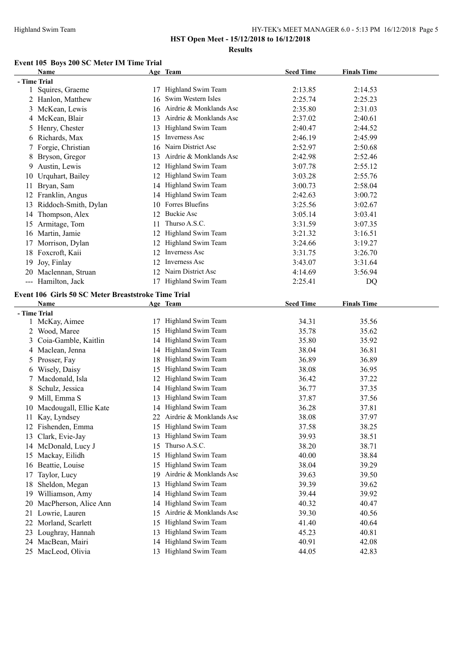# **Event 105 Boys 200 SC Meter IM Time Trial**

|    | Name                                                |    | Age Team                   | <b>Seed Time</b> | <b>Finals Time</b> |  |
|----|-----------------------------------------------------|----|----------------------------|------------------|--------------------|--|
|    | - Time Trial                                        |    |                            |                  |                    |  |
|    | 1 Squires, Graeme                                   |    | 17 Highland Swim Team      | 2:13.85          | 2:14.53            |  |
|    | 2 Hanlon, Matthew                                   |    | 16 Swim Western Isles      | 2:25.74          | 2:25.23            |  |
|    | 3 McKean, Lewis                                     |    | 16 Airdrie & Monklands Asc | 2:35.80          | 2:31.03            |  |
|    | 4 McKean, Blair                                     |    | 13 Airdrie & Monklands Asc | 2:37.02          | 2:40.61            |  |
|    | 5 Henry, Chester                                    |    | 13 Highland Swim Team      | 2:40.47          | 2:44.52            |  |
|    | 6 Richards, Max                                     |    | 15 Inverness Asc           | 2:46.19          | 2:45.99            |  |
|    | 7 Forgie, Christian                                 |    | 16 Nairn District Asc      | 2:52.97          | 2:50.68            |  |
| 8  | Bryson, Gregor                                      | 13 | Airdrie & Monklands Asc    | 2:42.98          | 2:52.46            |  |
| 9. | Austin, Lewis                                       | 12 | Highland Swim Team         | 3:07.78          | 2:55.12            |  |
|    | 10 Urquhart, Bailey                                 | 12 | Highland Swim Team         | 3:03.28          | 2:55.76            |  |
| 11 | Bryan, Sam                                          |    | 14 Highland Swim Team      | 3:00.73          | 2:58.04            |  |
|    | 12 Franklin, Angus                                  |    | 14 Highland Swim Team      | 2:42.63          | 3:00.72            |  |
| 13 | Riddoch-Smith, Dylan                                |    | 10 Forres Bluefins         | 3:25.56          | 3:02.67            |  |
|    | 14 Thompson, Alex                                   |    | 12 Buckie Asc              | 3:05.14          | 3:03.41            |  |
|    | 15 Armitage, Tom                                    | 11 | Thurso A.S.C.              | 3:31.59          | 3:07.35            |  |
|    | 16 Martin, Jamie                                    |    | 12 Highland Swim Team      | 3:21.32          | 3:16.51            |  |
|    | 17 Morrison, Dylan                                  |    | 12 Highland Swim Team      | 3:24.66          | 3:19.27            |  |
|    | 18 Foxcroft, Kaii                                   |    | 12 Inverness Asc           | 3:31.75          | 3:26.70            |  |
| 19 | Joy, Finlay                                         |    | 12 Inverness Asc           | 3:43.07          | 3:31.64            |  |
|    | 20 Maclennan, Struan                                | 12 | Nairn District Asc         | 4:14.69          | 3:56.94            |  |
|    | --- Hamilton, Jack                                  |    | 17 Highland Swim Team      | 2:25.41          | DQ                 |  |
|    | Event 106 Girls 50 SC Meter Breaststroke Time Trial |    |                            |                  |                    |  |
|    | <b>Name</b>                                         |    | Age Team                   | <b>Seed Time</b> | <b>Finals Time</b> |  |
|    | - Time Trial                                        |    |                            |                  |                    |  |
|    | 1 McKay, Aimee                                      |    | 17 Highland Swim Team      | 34.31            | 35.56              |  |
|    | 2 Wood, Maree                                       |    | 15 Highland Swim Team      | 35.78            | 35.62              |  |
| 3  | Coia-Gamble, Kaitlin                                |    | 14 Highland Swim Team      | 35.80            | 35.92              |  |
|    | 4 Maclean, Jenna                                    |    | 14 Highland Swim Team      | 38.04            | 36.81              |  |
|    | 5 Prosser, Fay                                      |    | 18 Highland Swim Team      | 36.89            | 36.89              |  |
|    | 6 Wisely, Daisy                                     | 15 | Highland Swim Team         | 38.08            | 36.95              |  |
|    | 7 Macdonald, Isla                                   | 12 | Highland Swim Team         | 36.42            | 37.22              |  |
|    | 8 Schulz, Jessica                                   |    | 14 Highland Swim Team      | 36.77            | 37.35              |  |
|    | 9 Mill, Emma S                                      |    | 13 Highland Swim Team      | 37.87            | 37.56              |  |
|    | 10 Macdougall, Ellie Kate                           |    | 14 Highland Swim Team      | 36.28            | 37.81              |  |
|    | 11 Kay, Lyndsey                                     |    | 22 Airdrie & Monklands Asc | 38.08            | 37.97              |  |
|    | 12 Fishenden, Emma                                  |    | 15 Highland Swim Team      | 37.58            | 38.25              |  |
| 13 | Clark, Evie-Jay                                     | 13 | Highland Swim Team         | 39.93            | 38.51              |  |
|    | 14 McDonald, Lucy J                                 | 15 | Thurso A.S.C.              | 38.20            | 38.71              |  |
|    | 15 Mackay, Eilidh                                   | 15 | Highland Swim Team         | 40.00            | 38.84              |  |
|    | 16 Beattie, Louise                                  | 15 | Highland Swim Team         | 38.04            | 39.29              |  |
| 17 | Taylor, Lucy                                        | 19 | Airdrie & Monklands Asc    | 39.63            | 39.50              |  |
|    | 18 Sheldon, Megan                                   | 13 | Highland Swim Team         | 39.39            | 39.62              |  |
|    | 19 Williamson, Amy                                  | 14 | Highland Swim Team         | 39.44            | 39.92              |  |
|    | 20 MacPherson, Alice Ann                            | 14 | Highland Swim Team         | 40.32            | 40.47              |  |
|    | 21 Lowrie, Lauren                                   | 15 | Airdrie & Monklands Asc    | 39.30            | 40.56              |  |
| 22 | Morland, Scarlett                                   | 15 | Highland Swim Team         | 41.40            | 40.64              |  |
| 23 | Loughray, Hannah                                    | 13 | Highland Swim Team         | 45.23            | 40.81              |  |
|    | 24 MacBean, Mairi                                   | 14 | Highland Swim Team         | 40.91            | 42.08              |  |
|    | 25 MacLeod, Olivia                                  |    | 13 Highland Swim Team      | 44.05            | 42.83              |  |
|    |                                                     |    |                            |                  |                    |  |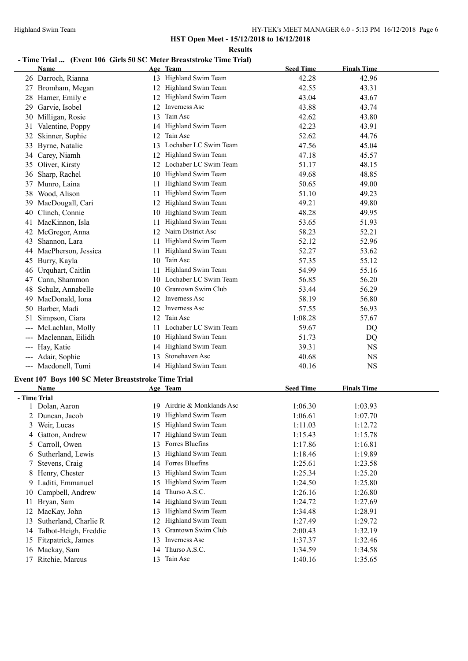**Results**

#### **- Time Trial ... (Event 106 Girls 50 SC Meter Breaststroke Time Trial)**

|              | <b>Name</b>                                         |    | Age Team                   | <b>Seed Time</b> | <b>Finals Time</b> |
|--------------|-----------------------------------------------------|----|----------------------------|------------------|--------------------|
|              | 26 Darroch, Rianna                                  |    | 13 Highland Swim Team      | 42.28            | 42.96              |
|              | 27 Bromham, Megan                                   |    | 12 Highland Swim Team      | 42.55            | 43.31              |
| 28           | Hamer, Emily e                                      |    | 12 Highland Swim Team      | 43.04            | 43.67              |
| 29           | Garvie, Isobel                                      |    | 12 Inverness Asc           | 43.88            | 43.74              |
| 30           | Milligan, Rosie                                     | 13 | Tain Asc                   | 42.62            | 43.80              |
| 31           | Valentine, Poppy                                    |    | 14 Highland Swim Team      | 42.23            | 43.91              |
| 32           | Skinner, Sophie                                     |    | 12 Tain Asc                | 52.62            | 44.76              |
| 33           | Byrne, Natalie                                      |    | 13 Lochaber LC Swim Team   | 47.56            | 45.04              |
|              | 34 Carey, Niamh                                     |    | 12 Highland Swim Team      | 47.18            | 45.57              |
| 35           | Oliver, Kirsty                                      |    | 12 Lochaber LC Swim Team   | 51.17            | 48.15              |
| 36           | Sharp, Rachel                                       |    | 10 Highland Swim Team      | 49.68            | 48.85              |
| 37           | Munro, Laina                                        |    | 11 Highland Swim Team      | 50.65            | 49.00              |
| 38           | Wood, Alison                                        |    | 11 Highland Swim Team      | 51.10            | 49.23              |
| 39           | MacDougall, Cari                                    |    | 12 Highland Swim Team      | 49.21            | 49.80              |
| 40           | Clinch, Connie                                      |    | 10 Highland Swim Team      | 48.28            | 49.95              |
| 41           | MacKinnon, Isla                                     | 11 | Highland Swim Team         | 53.65            | 51.93              |
| 42           | McGregor, Anna                                      |    | 12 Nairn District Asc      | 58.23            | 52.21              |
| 43           | Shannon, Lara                                       |    | 11 Highland Swim Team      | 52.12            | 52.96              |
|              | 44 MacPherson, Jessica                              |    | 11 Highland Swim Team      | 52.27            | 53.62              |
| 45           | Burry, Kayla                                        |    | 10 Tain Asc                | 57.35            | 55.12              |
| 46           | Urquhart, Caitlin                                   |    | 11 Highland Swim Team      | 54.99            | 55.16              |
| 47           | Cann, Shammon                                       |    | 10 Lochaber LC Swim Team   | 56.85            | 56.20              |
| 48           | Schulz, Annabelle                                   |    | 10 Grantown Swim Club      | 53.44            | 56.29              |
| 49           | MacDonald, Iona                                     |    | 12 Inverness Asc           | 58.19            | 56.80              |
| 50           | Barber, Madi                                        | 12 | Inverness Asc              | 57.55            | 56.93              |
| 51           | Simpson, Ciara                                      | 12 | Tain Asc                   | 1:08.28          | 57.67              |
|              | McLachlan, Molly                                    |    | 11 Lochaber LC Swim Team   | 59.67            | DQ                 |
| ---          | Maclennan, Eilidh                                   |    | 10 Highland Swim Team      | 51.73            | DQ                 |
|              | --- Hay, Katie                                      | 14 | Highland Swim Team         | 39.31            | <b>NS</b>          |
|              | --- Adair, Sophie                                   | 13 | Stonehaven Asc             | 40.68            | NS                 |
|              | --- Macdonell, Tumi                                 |    | 14 Highland Swim Team      | 40.16            | <b>NS</b>          |
|              | Event 107 Boys 100 SC Meter Breaststroke Time Trial |    |                            |                  |                    |
|              | <b>Name</b>                                         |    | Age Team                   | <b>Seed Time</b> | <b>Finals Time</b> |
| - Time Trial |                                                     |    |                            |                  |                    |
|              | 1 Dolan, Aaron                                      |    | 19 Airdrie & Monklands Asc | 1:06.30          | 1:03.93            |
|              | 2 Duncan, Jacob                                     |    | 19 Highland Swim Team      | 1:06.61          | 1:07.70            |
| 3            | Weir, Lucas                                         |    | 15 Highland Swim Team      | 1:11.03          | 1:12.72            |
| 4            | Gatton, Andrew                                      | 17 | Highland Swim Team         | 1:15.43          | 1:15.78            |
| 5            | Carroll, Owen                                       | 13 | Forres Bluefins            | 1:17.86          | 1:16.81            |
| 6            | Sutherland, Lewis                                   | 13 | Highland Swim Team         | 1:18.46          | 1:19.89            |
| 7            | Stevens, Craig                                      |    | 14 Forres Bluefins         | 1:25.61          | 1:23.58            |
| 8            | Henry, Chester                                      | 13 | Highland Swim Team         | 1:25.34          | 1:25.20            |
| 9.           | Laditi, Emmanuel                                    | 15 | Highland Swim Team         | 1:24.50          | 1:25.80            |
| 10           | Campbell, Andrew                                    | 14 | Thurso A.S.C.              | 1:26.16          | 1:26.80            |
| 11           | Bryan, Sam                                          | 14 | Highland Swim Team         | 1:24.72          | 1:27.69            |
| 12           | MacKay, John                                        | 13 | Highland Swim Team         | 1:34.48          | 1:28.91            |
| 13           | Sutherland, Charlie R                               | 12 | Highland Swim Team         | 1:27.49          | 1:29.72            |
| 14           | Talbot-Heigh, Freddie                               | 13 | Grantown Swim Club         | 2:00.43          | 1:32.19            |
| 15           | Fitzpatrick, James                                  | 13 | Inverness Asc              | 1:37.37          | 1:32.46            |
|              | 16 Mackay, Sam                                      | 14 | Thurso A.S.C.              | 1:34.59          | 1:34.58            |
|              | 17 Ritchie, Marcus                                  |    | 13 Tain Asc                | 1:40.16          | 1:35.65            |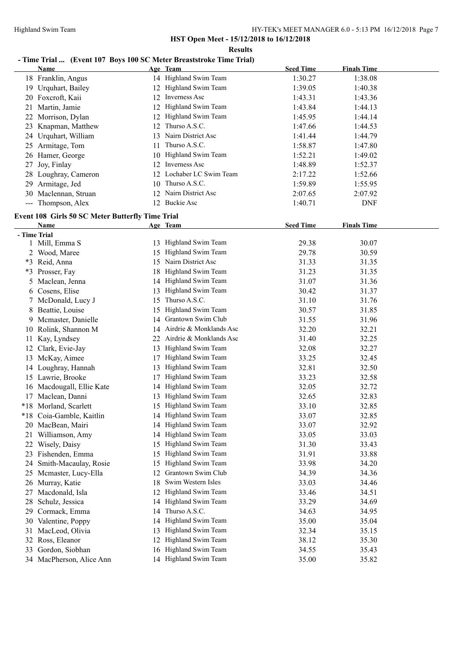# **- Time Trial ... (Event 107 Boys 100 SC Meter Breaststroke Time Trial)**

|              | <b>Name</b>                                             |    | Age Team                   | <b>Seed Time</b> | <b>Finals Time</b> |  |
|--------------|---------------------------------------------------------|----|----------------------------|------------------|--------------------|--|
|              | 18 Franklin, Angus                                      |    | 14 Highland Swim Team      | 1:30.27          | 1:38.08            |  |
|              | 19 Urquhart, Bailey                                     |    | 12 Highland Swim Team      | 1:39.05          | 1:40.38            |  |
|              | 20 Foxcroft, Kaii                                       |    | 12 Inverness Asc           | 1:43.31          | 1:43.36            |  |
|              | 21 Martin, Jamie                                        |    | 12 Highland Swim Team      | 1:43.84          | 1:44.13            |  |
|              | 22 Morrison, Dylan                                      |    | 12 Highland Swim Team      | 1:45.95          | 1:44.14            |  |
| 23           | Knapman, Matthew                                        |    | 12 Thurso A.S.C.           | 1:47.66          | 1:44.53            |  |
|              | 24 Urquhart, William                                    |    | 13 Nairn District Asc      | 1:41.44          | 1:44.79            |  |
| 25           | Armitage, Tom                                           | 11 | Thurso A.S.C.              | 1:58.87          | 1:47.80            |  |
| 26           | Hamer, George                                           |    | 10 Highland Swim Team      | 1:52.21          | 1:49.02            |  |
| 27           | Joy, Finlay                                             |    | 12 Inverness Asc           | 1:48.89          | 1:52.37            |  |
| 28           | Loughray, Cameron                                       |    | 12 Lochaber LC Swim Team   | 2:17.22          | 1:52.66            |  |
| 29           | Armitage, Jed                                           | 10 | Thurso A.S.C.              | 1:59.89          | 1:55.95            |  |
| 30           | Maclennan, Struan                                       | 12 | Nairn District Asc         | 2:07.65          | 2:07.92            |  |
|              | --- Thompson, Alex                                      |    | 12 Buckie Asc              | 1:40.71          | <b>DNF</b>         |  |
|              | <b>Event 108 Girls 50 SC Meter Butterfly Time Trial</b> |    |                            |                  |                    |  |
|              | <b>Name</b>                                             |    | Age Team                   | <b>Seed Time</b> | <b>Finals Time</b> |  |
| - Time Trial |                                                         |    |                            |                  |                    |  |
|              | 1 Mill, Emma S                                          |    | 13 Highland Swim Team      | 29.38            | 30.07              |  |
|              | 2 Wood, Maree                                           | 15 | Highland Swim Team         | 29.78            | 30.59              |  |
|              | *3 Reid, Anna                                           |    | 15 Nairn District Asc      | 31.33            | 31.35              |  |
|              | *3 Prosser, Fay                                         | 18 | Highland Swim Team         | 31.23            | 31.35              |  |
|              | 5 Maclean, Jenna                                        |    | 14 Highland Swim Team      | 31.07            | 31.36              |  |
|              | 6 Cosens, Elise                                         |    | 13 Highland Swim Team      | 30.42            | 31.37              |  |
| 7            | McDonald, Lucy J                                        |    | 15 Thurso A.S.C.           | 31.10            | 31.76              |  |
|              | 8 Beattie, Louise                                       |    | 15 Highland Swim Team      | 30.57            | 31.85              |  |
| 9.           | Mcmaster, Danielle                                      |    | 14 Grantown Swim Club      | 31.55            | 31.96              |  |
| 10           | Rolink, Shannon M                                       |    | 14 Airdrie & Monklands Asc | 32.20            | 32.21              |  |
| 11           | Kay, Lyndsey                                            |    | 22 Airdrie & Monklands Asc | 31.40            | 32.25              |  |
| 12           | Clark, Evie-Jay                                         |    | 13 Highland Swim Team      | 32.08            | 32.27              |  |
| 13           | McKay, Aimee                                            | 17 | Highland Swim Team         | 33.25            | 32.45              |  |
|              | 14 Loughray, Hannah                                     | 13 | Highland Swim Team         | 32.81            | 32.50              |  |
|              | 15 Lawrie, Brooke                                       | 17 | Highland Swim Team         | 33.23            | 32.58              |  |
|              | 16 Macdougall, Ellie Kate                               | 14 | Highland Swim Team         | 32.05            | 32.72              |  |
|              | 17 Maclean, Danni                                       | 13 | Highland Swim Team         | 32.65            | 32.83              |  |
|              | *18 Morland, Scarlett                                   | 15 | Highland Swim Team         | 33.10            | 32.85              |  |
|              | *18 Coia-Gamble, Kaitlin                                |    | 14 Highland Swim Team      | 33.07            | 32.85              |  |
| 20           | MacBean, Mairi                                          |    | 14 Highland Swim Team      | 33.07            | 32.92              |  |
| 21           | Williamson, Amy                                         | 14 | Highland Swim Team         | 33.05            | 33.03              |  |
| 22           | Wisely, Daisy                                           | 15 | Highland Swim Team         | 31.30            | 33.43              |  |
| 23           | Fishenden, Emma                                         | 15 | Highland Swim Team         | 31.91            | 33.88              |  |
| 24           | Smith-Macaulay, Rosie                                   | 15 | Highland Swim Team         | 33.98            | 34.20              |  |
| 25           | Mcmaster, Lucy-Ella                                     | 12 | Grantown Swim Club         | 34.39            | 34.36              |  |
| 26           | Murray, Katie                                           | 18 | Swim Western Isles         | 33.03            | 34.46              |  |
| 27           | Macdonald, Isla                                         | 12 | Highland Swim Team         | 33.46            | 34.51              |  |
| 28           | Schulz, Jessica                                         | 14 | Highland Swim Team         | 33.29            | 34.69              |  |
| 29           | Cormack, Emma                                           | 14 | Thurso A.S.C.              | 34.63            | 34.95              |  |
| 30           | Valentine, Poppy                                        | 14 | Highland Swim Team         | 35.00            | 35.04              |  |
| 31           | MacLeod, Olivia                                         | 13 | Highland Swim Team         | 32.34            | 35.15              |  |
| 32           | Ross, Eleanor                                           | 12 | Highland Swim Team         | 38.12            | 35.30              |  |
| 33           | Gordon, Siobhan                                         | 16 | Highland Swim Team         | 34.55            | 35.43              |  |
|              | 34 MacPherson, Alice Ann                                |    | 14 Highland Swim Team      | 35.00            | 35.82              |  |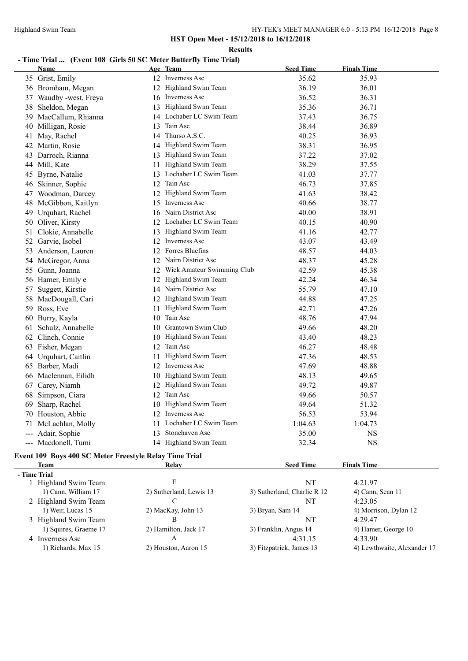#### **Results**

# **- Time Trial ... (Event 108 Girls 50 SC Meter Butterfly Time Trial)**

|     | Name                 |     | Age Team                      | <b>Seed Time</b> | <b>Finals Time</b> |
|-----|----------------------|-----|-------------------------------|------------------|--------------------|
|     | 35 Grist, Emily      |     | 12 Inverness Asc              | 35.62            | 35.93              |
|     | 36 Bromham, Megan    |     | 12 Highland Swim Team         | 36.19            | 36.01              |
| 37  | Waudby -west, Freya  |     | 16 Inverness Asc              | 36.52            | 36.31              |
| 38  | Sheldon, Megan       |     | 13 Highland Swim Team         | 35.36            | 36.71              |
| 39  | MacCallum, Rhianna   |     | 14 Lochaber LC Swim Team      | 37.43            | 36.75              |
| 40  | Milligan, Rosie      |     | 13 Tain Asc                   | 38.44            | 36.89              |
| 41  | May, Rachel          |     | 14 Thurso A.S.C.              | 40.25            | 36.93              |
|     | 42 Martin, Rosie     |     | 14 Highland Swim Team         | 38.31            | 36.95              |
| 43. | Darroch, Rianna      |     | 13 Highland Swim Team         | 37.22            | 37.02              |
| 44  | Mill, Kate           | 11  | Highland Swim Team            | 38.29            | 37.55              |
|     | 45 Byrne, Natalie    | 13  | Lochaber LC Swim Team         | 41.03            | 37.77              |
| 46  | Skinner, Sophie      | 12  | Tain Asc                      | 46.73            | 37.85              |
| 47  | Woodman, Darcey      | 12  | Highland Swim Team            | 41.63            | 38.42              |
| 48  | McGibbon, Kaitlyn    | 15  | Inverness Asc                 | 40.66            | 38.77              |
| 49  | Urquhart, Rachel     |     | 16 Nairn District Asc         | 40.00            | 38.91              |
|     | 50 Oliver, Kirsty    |     | 12 Lochaber LC Swim Team      | 40.15            | 40.90              |
| 51  | Clokie, Annabelle    | 13  | Highland Swim Team            | 41.16            | 42.77              |
| 52  | Garvie, Isobel       | 12  | Inverness Asc                 | 43.07            | 43.49              |
| 53  | Anderson, Lauren     |     | 12 Forres Bluefins            | 48.57            | 44.03              |
| 54  | McGregor, Anna       |     | 12 Nairn District Asc         | 48.37            | 45.28              |
| 55  | Gunn, Joanna         |     | 12 Wick Amateur Swimming Club | 42.59            | 45.38              |
|     | 56 Hamer, Emily e    |     | 12 Highland Swim Team         | 42.24            | 46.34              |
| 57  | Suggett, Kirstie     |     | 14 Nairn District Asc         | 55.79            | 47.10              |
| 58. | MacDougall, Cari     |     | 12 Highland Swim Team         | 44.88            | 47.25              |
|     | 59 Ross, Eve         | 11  | Highland Swim Team            | 42.71            | 47.26              |
|     | 60 Burry, Kayla      | 10  | Tain Asc                      | 48.76            | 47.94              |
| 61  | Schulz, Annabelle    | 10. | Grantown Swim Club            | 49.66            | 48.20              |
| 62  | Clinch, Connie       | 10  | Highland Swim Team            | 43.40            | 48.23              |
|     | 63 Fisher, Megan     |     | 12 Tain Asc                   | 46.27            | 48.48              |
|     | 64 Urquhart, Caitlin | 11  | Highland Swim Team            | 47.36            | 48.53              |
|     | 65 Barber, Madi      |     | 12 Inverness Asc              | 47.69            | 48.88              |
|     | 66 Maclennan, Eilidh |     | 10 Highland Swim Team         | 48.13            | 49.65              |
|     | 67 Carey, Niamh      |     | 12 Highland Swim Team         | 49.72            | 49.87              |
| 68  | Simpson, Ciara       |     | 12 Tain Asc                   | 49.66            | 50.57              |
| 69  | Sharp, Rachel        | 10  | Highland Swim Team            | 49.64            | 51.32              |
| 70  | Houston, Abbie       |     | 12 Inverness Asc              | 56.53            | 53.94              |
| 71  | McLachlan, Molly     |     | 11 Lochaber LC Swim Team      | 1:04.63          | 1:04.73            |
| --- | Adair, Sophie        | 13  | Stonehaven Asc                | 35.00            | NS                 |
|     | --- Macdonell, Tumi  |     | 14 Highland Swim Team         | 32.34            | <b>NS</b>          |
|     |                      |     |                               |                  |                    |

#### **Event 109 Boys 400 SC Meter Freestyle Relay Time Trial Team Relay Relay Seed Time Finals Time**

 **- Time Trial**

| <b>THILE THAT</b>     |                         |                             |                             |
|-----------------------|-------------------------|-----------------------------|-----------------------------|
| Highland Swim Team    | E                       | NT                          | 4:21.97                     |
| 1) Cann, William 17   | 2) Sutherland, Lewis 13 | 3) Sutherland, Charlie R 12 | 4) Cann, Sean 11            |
| 2 Highland Swim Team  |                         | NT                          | 4:23.05                     |
| 1) Weir, Lucas 15     | 2) MacKay, John 13      | 3) Bryan, Sam 14            | 4) Morrison, Dylan 12       |
| 3 Highland Swim Team  | В                       | NT                          | 4:29.47                     |
| 1) Squires, Graeme 17 | 2) Hamilton, Jack 17    | 3) Franklin, Angus 14       | 4) Hamer, George 10         |
| 4 Inverness Asc       | А                       | 4:31.15                     | 4:33.90                     |
| 1) Richards, Max 15   | 2) Houston, Aaron 15    | 3) Fitzpatrick, James 13    | 4) Lewthwaite, Alexander 17 |
|                       |                         |                             |                             |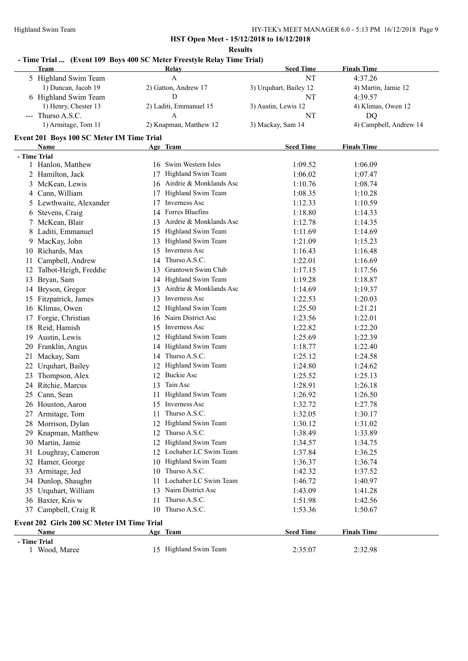#### HY-TEK's MEET MANAGER 6.0 - 5:13 PM 16/12/2018 Page 9

**HST Open Meet - 15/12/2018 to 16/12/2018**

**Results**

#### **- Time Trial ... (Event 109 Boys 400 SC Meter Freestyle Relay Time Trial)**

|     | Team                                       | <b>Relay</b>                  | <b>Seed Time</b>       | <b>Finals Time</b>     |
|-----|--------------------------------------------|-------------------------------|------------------------|------------------------|
|     | 5 Highland Swim Team                       | A                             | NT                     | 4:37.26                |
|     | 1) Duncan, Jacob 19                        | 2) Gatton, Andrew 17          | 3) Urquhart, Bailey 12 | 4) Martin, Jamie 12    |
|     | 6 Highland Swim Team                       | D                             | NT                     | 4:39.57                |
|     | 1) Henry, Chester 13                       | 2) Laditi, Emmanuel 15        | 3) Austin, Lewis 12    | 4) Klimas, Owen 12     |
|     | --- Thurso A.S.C.                          | A                             | NT                     | DQ                     |
|     | 1) Armitage, Tom 11                        | 2) Knapman, Matthew 12        | 3) Mackay, Sam 14      | 4) Campbell, Andrew 14 |
|     | Event 201 Boys 100 SC Meter IM Time Trial  |                               |                        |                        |
|     | Name                                       | Age Team                      | <b>Seed Time</b>       | <b>Finals Time</b>     |
|     | - Time Trial                               |                               |                        |                        |
|     | 1 Hanlon, Matthew                          | 16 Swim Western Isles         | 1:09.52                | 1:06.09                |
|     | 2 Hamilton, Jack                           | Highland Swim Team<br>17      | 1:06.02                | 1:07.47                |
|     | 3 McKean, Lewis                            | 16 Airdrie & Monklands Asc    | 1:10.76                | 1:08.74                |
|     | 4 Cann, William                            | 17 Highland Swim Team         | 1:08.35                | 1:10.28                |
|     | 5 Lewthwaite, Alexander                    | Inverness Asc<br>17           | 1:12.33                | 1:10.59                |
|     | 6 Stevens, Craig                           | 14 Forres Bluefins            | 1:18.80                | 1:14.33                |
|     | 7 McKean, Blair                            | 13 Airdrie & Monklands Asc    | 1:12.78                | 1:14.35                |
|     | 8 Laditi, Emmanuel                         | 15 Highland Swim Team         | 1:11.69                | 1:14.69                |
|     | 9 MacKay, John                             | 13 Highland Swim Team         | 1:21.09                | 1:15.23                |
|     | 10 Richards, Max                           | 15 Inverness Asc              | 1:16.43                | 1:16.48                |
| 11  | Campbell, Andrew                           | 14 Thurso A.S.C.              | 1:22.01                | 1:16.69                |
|     | 12 Talbot-Heigh, Freddie                   | 13 Grantown Swim Club         | 1:17.15                | 1:17.56                |
|     | 13 Bryan, Sam                              | 14 Highland Swim Team         | 1:19.28                | 1:18.87                |
|     | 14 Bryson, Gregor                          | Airdrie & Monklands Asc<br>13 | 1:14.69                | 1:19.37                |
|     | 15 Fitzpatrick, James                      | Inverness Asc<br>13           | 1:22.53                | 1:20.03                |
|     | 16 Klimas, Owen                            | Highland Swim Team<br>12      | 1:25.50                | 1:21.21                |
|     | 17 Forgie, Christian                       | 16 Nairn District Asc         | 1:23.56                | 1:22.01                |
|     | 18 Reid, Hamish                            | Inverness Asc<br>15           | 1:22.82                | 1:22.20                |
| 19  | Austin, Lewis                              | 12 Highland Swim Team         | 1:25.69                | 1:22.39                |
|     | 20 Franklin, Angus                         | 14 Highland Swim Team         | 1:18.77                | 1:22.40                |
|     | 21 Mackay, Sam                             | 14 Thurso A.S.C.              | 1:25.12                | 1:24.58                |
|     | 22 Urquhart, Bailey                        | 12 Highland Swim Team         | 1:24.80                | 1:24.62                |
| 23. | Thompson, Alex                             | 12 Buckie Asc                 | 1:25.52                | 1:25.13                |
|     | 24 Ritchie, Marcus                         | Tain Asc<br>13                | 1:28.91                | 1:26.18                |
|     | 25 Cann, Sean                              | Highland Swim Team<br>11      | 1:26.92                | 1:26.50                |
|     | 26 Houston, Aaron                          | 15 Inverness Asc              | 1:32.72                | 1:27.78                |
|     |                                            | 11 Thurso A.S.C.              | 1:32.05                | 1:30.17                |
|     | 27 Armitage, Tom<br>28 Morrison, Dylan     | 12 Highland Swim Team         | 1:30.12                | 1:31.02                |
|     | 29 Knapman, Matthew                        | 12 Thurso A.S.C.              | 1:38.49                | 1:33.89                |
|     | 30 Martin, Jamie                           | 12 Highland Swim Team         | 1:34.57                | 1:34.75                |
|     | 31 Loughray, Cameron                       | 12 Lochaber LC Swim Team      | 1:37.84                | 1:36.25                |
|     | 32 Hamer, George                           | 10 Highland Swim Team         | 1:36.37                | 1:36.74                |
|     | 33 Armitage, Jed                           | 10 Thurso A.S.C.              | 1:42.32                | 1:37.52                |
|     | 34 Dunlop, Shaughn                         | 11 Lochaber LC Swim Team      | 1:46.72                | 1:40.97                |
|     |                                            | 13 Naim District Asc          | 1:43.09                | 1:41.28                |
|     | 35 Urquhart, William<br>36 Baxter, Kris w  | 11 Thurso A.S.C.              | 1:51.98                | 1:42.56                |
|     | 37 Campbell, Craig R                       | 10 Thurso A.S.C.              |                        |                        |
|     |                                            |                               | 1:53.36                | 1:50.67                |
|     | Event 202 Girls 200 SC Meter IM Time Trial |                               |                        |                        |
|     | <b>Name</b>                                | Age Team                      | <b>Seed Time</b>       | <b>Finals Time</b>     |
|     | - Time Trial<br>1 Wood, Maree              | 15 Highland Swim Team         |                        |                        |
|     |                                            |                               | 2:35.07                | 2:32.98                |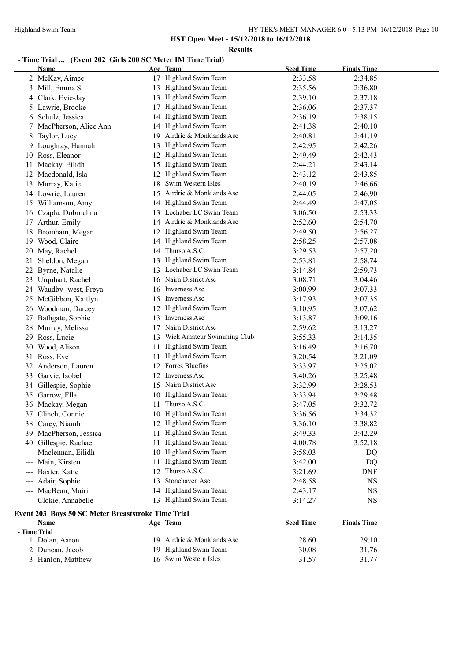#### **Results**

# **- Time Trial ... (Event 202 Girls 200 SC Meter IM Time Trial)**

|                            | <b>Name</b>                                                |    | Age Team                   | <b>Seed Time</b> | <b>Finals Time</b> |  |
|----------------------------|------------------------------------------------------------|----|----------------------------|------------------|--------------------|--|
|                            | 2 McKay, Aimee                                             | 17 | Highland Swim Team         | 2:33.58          | 2:34.85            |  |
| 3                          | Mill, Emma S                                               | 13 | Highland Swim Team         | 2:35.56          | 2:36.80            |  |
| 4                          | Clark, Evie-Jay                                            | 13 | Highland Swim Team         | 2:39.10          | 2:37.18            |  |
| $\mathcal{L}$              | Lawrie, Brooke                                             | 17 | Highland Swim Team         | 2:36.06          | 2:37.37            |  |
| 6                          | Schulz, Jessica                                            | 14 | Highland Swim Team         | 2:36.19          | 2:38.15            |  |
|                            | MacPherson, Alice Ann                                      | 14 | Highland Swim Team         | 2:41.38          | 2:40.10            |  |
| 8                          | Taylor, Lucy                                               | 19 | Airdrie & Monklands Asc    | 2:40.81          | 2:41.19            |  |
| 9.                         | Loughray, Hannah                                           | 13 | Highland Swim Team         | 2:42.95          | 2:42.26            |  |
| 10                         | Ross, Eleanor                                              | 12 | Highland Swim Team         | 2:49.49          | 2:42.43            |  |
| 11                         | Mackay, Eilidh                                             | 15 | Highland Swim Team         | 2:44.21          | 2:43.14            |  |
| 12                         | Macdonald, Isla                                            | 12 | Highland Swim Team         | 2:43.12          | 2:43.85            |  |
| 13                         | Murray, Katie                                              | 18 | Swim Western Isles         | 2:40.19          | 2:46.66            |  |
|                            | 14 Lowrie, Lauren                                          | 15 | Airdrie & Monklands Asc    | 2:44.05          | 2:46.90            |  |
|                            | 15 Williamson, Amy                                         | 14 | Highland Swim Team         | 2:44.49          | 2:47.05            |  |
|                            | 16 Czapla, Dobrochna                                       |    | 13 Lochaber LC Swim Team   | 3:06.50          | 2:53.33            |  |
|                            | 17 Arthur, Emily                                           |    | 14 Airdrie & Monklands Asc | 2:52.60          | 2:54.70            |  |
| 18                         | Bromham, Megan                                             |    | 12 Highland Swim Team      | 2:49.50          | 2:56.27            |  |
| 19                         | Wood, Claire                                               |    | 14 Highland Swim Team      | 2:58.25          | 2:57.08            |  |
| 20                         | May, Rachel                                                |    | 14 Thurso A.S.C.           | 3:29.53          | 2:57.20            |  |
| 21                         | Sheldon, Megan                                             | 13 | Highland Swim Team         | 2:53.81          | 2:58.74            |  |
| 22                         | Byrne, Natalie                                             |    | 13 Lochaber LC Swim Team   | 3:14.84          | 2:59.73            |  |
| 23                         | Urquhart, Rachel                                           |    | 16 Nairn District Asc      | 3:08.71          | 3:04.46            |  |
| 24                         | Waudby -west, Freya                                        |    | 16 Inverness Asc           | 3:00.99          | 3:07.33            |  |
| 25                         | McGibbon, Kaitlyn                                          |    | 15 Inverness Asc           | 3:17.93          | 3:07.35            |  |
|                            | 26 Woodman, Darcey                                         | 12 | Highland Swim Team         | 3:10.95          | 3:07.62            |  |
| 27                         | Bathgate, Sophie                                           |    | 13 Inverness Asc           | 3:13.87          | 3:09.16            |  |
|                            | 28 Murray, Melissa                                         |    | 17 Nairn District Asc      | 2:59.62          | 3:13.27            |  |
| 29                         | Ross, Lucie                                                | 13 | Wick Amateur Swimming Club | 3:55.33          | 3:14.35            |  |
| 30                         | Wood, Alison                                               | 11 | Highland Swim Team         | 3:16.49          | 3:16.70            |  |
| 31                         | Ross, Eve                                                  | 11 | Highland Swim Team         | 3:20.54          | 3:21.09            |  |
|                            | 32 Anderson, Lauren                                        |    | 12 Forres Bluefins         | 3:33.97          | 3:25.02            |  |
| 33                         | Garvie, Isobel                                             |    | 12 Inverness Asc           | 3:40.26          | 3:25.48            |  |
| 34                         | Gillespie, Sophie                                          |    | 15 Nairn District Asc      | 3:32.99          | 3:28.53            |  |
| 35                         | Garrow, Ella                                               |    | 10 Highland Swim Team      | 3:33.94          | 3:29.48            |  |
|                            | 36 Mackay, Megan                                           | 11 | Thurso A.S.C.              | 3:47.05          | 3:32.72            |  |
| 37                         | Clinch, Connie                                             |    | 10 Highland Swim Team      | 3:36.56          | 3:34.32            |  |
|                            | 38 Carey, Niamh                                            |    | 12 Highland Swim Team      | 3:36.10          | 3:38.82            |  |
| 39                         | MacPherson, Jessica                                        | 11 | Highland Swim Team         | 3:49.33          | 3:42.29            |  |
| 40                         | Gillespie, Rachael                                         | 11 | Highland Swim Team         | 4:00.78          | 3:52.18            |  |
|                            | Maclennan, Eilidh                                          | 10 | Highland Swim Team         | 3:58.03          | DQ                 |  |
| $\qquad \qquad \cdots$     | Main, Kirsten                                              | 11 | Highland Swim Team         | 3:42.00          | DQ                 |  |
| $\qquad \qquad - \qquad -$ | Baxter, Katie                                              | 12 | Thurso A.S.C.              | 3:21.69          | <b>DNF</b>         |  |
| $\qquad \qquad \cdots$     | Adair, Sophie                                              | 13 | Stonehaven Asc             | 2:48.58          | <b>NS</b>          |  |
|                            | --- MacBean, Mairi                                         | 14 | Highland Swim Team         | 2:43.17          | NS                 |  |
|                            | --- Clokie, Annabelle                                      |    | 13 Highland Swim Team      | 3:14.27          | <b>NS</b>          |  |
|                            |                                                            |    |                            |                  |                    |  |
|                            | Event 203 Boys 50 SC Meter Breaststroke Time Trial<br>Name |    |                            | <b>Seed Time</b> | <b>Finals Time</b> |  |
|                            | - Time Trial                                               |    | Age Team                   |                  |                    |  |
|                            | 1 Dolan, Aaron                                             |    | 19 Airdrie & Monklands Asc | 28.60            | 29.10              |  |
|                            | 2 Duncan, Jacob                                            |    | 19 Highland Swim Team      | 30.08            | 31.76              |  |
|                            | 3 Hanlon, Matthew                                          |    | 16 Swim Western Isles      | 31.57            | 31.77              |  |
|                            |                                                            |    |                            |                  |                    |  |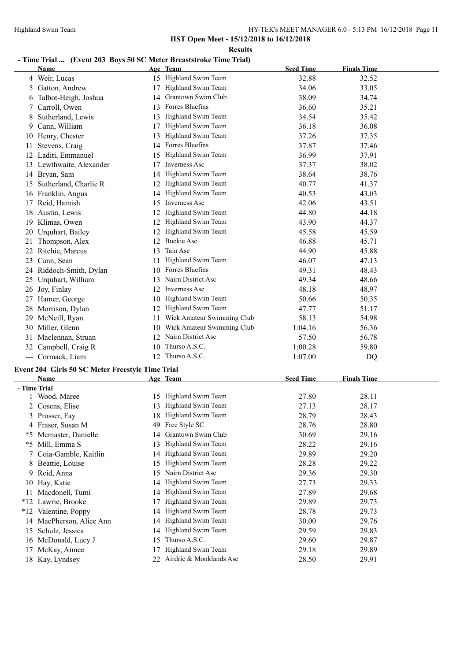#### **Results**

# **- Time Trial ... (Event 203 Boys 50 SC Meter Breaststroke Time Trial)**

|     | <b>Name</b>                                      |     | Age Team                                    | <b>Seed Time</b> | <b>Finals Time</b> |  |
|-----|--------------------------------------------------|-----|---------------------------------------------|------------------|--------------------|--|
|     | 4 Weir, Lucas                                    |     | 15 Highland Swim Team                       | 32.88            | 32.52              |  |
|     | 5 Gatton, Andrew                                 |     | 17 Highland Swim Team                       | 34.06            | 33.05              |  |
|     | 6 Talbot-Heigh, Joshua                           |     | 14 Grantown Swim Club                       | 38.09            | 34.74              |  |
| 7   | Carroll, Owen                                    |     | 13 Forres Bluefins                          | 36.60            | 35.21              |  |
| 8   | Sutherland, Lewis                                |     | 13 Highland Swim Team                       | 34.54            | 35.42              |  |
| 9   | Cann, William                                    |     | 17 Highland Swim Team                       | 36.18            | 36.08              |  |
|     | 10 Henry, Chester                                |     | 13 Highland Swim Team                       | 37.26            | 37.35              |  |
| 11  | Stevens, Craig                                   |     | 14 Forres Bluefins                          | 37.87            | 37.46              |  |
|     | 12 Laditi, Emmanuel                              |     | 15 Highland Swim Team                       | 36.99            | 37.91              |  |
|     | 13 Lewthwaite, Alexander                         |     | 17 Inverness Asc                            | 37.37            | 38.02              |  |
|     | 14 Bryan, Sam                                    |     | 14 Highland Swim Team                       | 38.64            | 38.76              |  |
|     | 15 Sutherland, Charlie R                         |     | 12 Highland Swim Team                       | 40.77            | 41.37              |  |
|     | 16 Franklin, Angus                               |     | 14 Highland Swim Team                       | 40.53            | 43.03              |  |
|     | 17 Reid, Hamish                                  |     | 15 Inverness Asc                            | 42.06            | 43.51              |  |
|     | 18 Austin, Lewis                                 |     | 12 Highland Swim Team                       | 44.80            | 44.18              |  |
|     | 19 Klimas, Owen                                  |     | 12 Highland Swim Team                       | 43.90            | 44.37              |  |
|     | 20 Urquhart, Bailey                              |     | 12 Highland Swim Team                       | 45.58            | 45.59              |  |
|     | Thompson, Alex                                   |     | 12 Buckie Asc                               | 46.88            | 45.71              |  |
| 21  | 22 Ritchie, Marcus                               |     | Tain Asc                                    |                  |                    |  |
|     |                                                  | 13  | Highland Swim Team                          | 44.90            | 45.88              |  |
| 23  | Cann, Sean                                       | 11  |                                             | 46.07            | 47.13              |  |
|     | 24 Riddoch-Smith, Dylan                          |     | 10 Forres Bluefins<br>13 Nairn District Asc | 49.31            | 48.43              |  |
| 25  | Urquhart, William                                |     |                                             | 49.34            | 48.66              |  |
|     | 26 Joy, Finlay                                   |     | 12 Inverness Asc                            | 48.18            | 48.97              |  |
|     | 27 Hamer, George                                 |     | 10 Highland Swim Team                       | 50.66            | 50.35              |  |
|     | 28 Morrison, Dylan                               |     | 12 Highland Swim Team                       | 47.77            | 51.17              |  |
|     | 29 McNeill, Ryan                                 | 11. | Wick Amateur Swimming Club                  | 58.13            | 54.98              |  |
|     | 30 Miller, Glenn                                 |     | 10 Wick Amateur Swimming Club               | 1:04.16          | 56.36              |  |
|     | 31 Maclennan, Struan                             |     | 12 Nairn District Asc                       | 57.50            | 56.78              |  |
|     | 32 Campbell, Craig R                             |     | 10 Thurso A.S.C.                            | 1:00.28          | 59.80              |  |
|     | --- Cormack, Liam                                |     | 12 Thurso A.S.C.                            | 1:07.00          | DQ                 |  |
|     | Event 204 Girls 50 SC Meter Freestyle Time Trial |     |                                             |                  |                    |  |
|     | Name                                             |     | Age Team                                    | <b>Seed Time</b> | <b>Finals Time</b> |  |
|     | - Time Trial                                     |     |                                             |                  |                    |  |
|     | 1 Wood, Maree                                    |     | 15 Highland Swim Team                       | 27.80            | 28.11              |  |
|     | 2 Cosens, Elise                                  |     | 13 Highland Swim Team                       | 27.13            | 28.17              |  |
|     | 3 Prosser, Fay                                   |     | 18 Highland Swim Team                       | 28.79            | 28.43              |  |
|     | 4 Fraser, Susan M                                |     | 49 Free Style SC                            | 28.76            | 28.80              |  |
|     | *5 Mcmaster, Danielle                            | 14  | Grantown Swim Club                          | 30.69            | 29.16              |  |
|     | *5 Mill, Emma S                                  | 13  | Highland Swim Team                          | 28.22            | 29.16              |  |
| 7   | Coia-Gamble, Kaitlin                             |     | 14 Highland Swim Team                       | 29.89            | 29.20              |  |
| 8   | Beattie, Louise                                  | 15  | Highland Swim Team                          | 28.28            | 29.22              |  |
| 9   | Reid, Anna                                       | 15  | Nairn District Asc                          | 29.36            | 29.30              |  |
| 10  | Hay, Katie                                       | 14  | Highland Swim Team                          | 27.73            | 29.33              |  |
| 11. | Macdonell, Tumi                                  |     | 14 Highland Swim Team                       | 27.89            | 29.68              |  |
|     | *12 Lawrie, Brooke                               | 17  | Highland Swim Team                          | 29.89            | 29.73              |  |
|     | *12 Valentine, Poppy                             | 14  | Highland Swim Team                          | 28.78            | 29.73              |  |
|     | 14 MacPherson, Alice Ann                         | 14  | Highland Swim Team                          | 30.00            | 29.76              |  |
| 15  | Schulz, Jessica                                  | 14  | Highland Swim Team                          | 29.59            | 29.83              |  |
|     | 16 McDonald, Lucy J                              | 15  | Thurso A.S.C.                               | 29.60            | 29.87              |  |
| 17  | McKay, Aimee                                     | 17  | Highland Swim Team                          | 29.18            | 29.89              |  |
|     | 18 Kay, Lyndsey                                  |     | 22 Airdrie & Monklands Asc                  | 28.50            | 29.91              |  |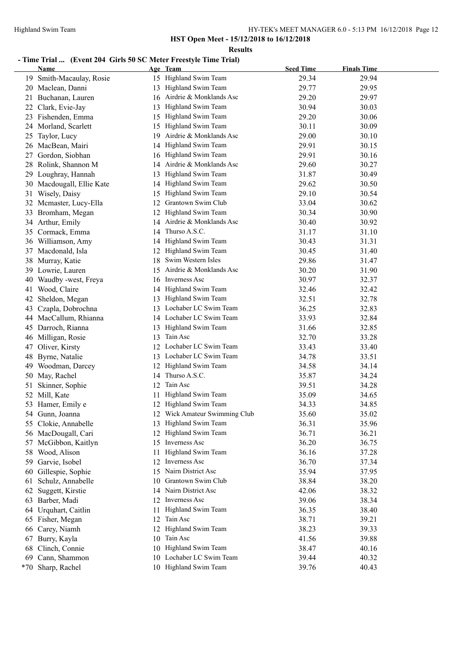#### **Results**

# **- Time Trial ... (Event 204 Girls 50 SC Meter Freestyle Time Trial)**

|    | Name                                    |     | Age Team                                          | <b>Seed Time</b> | <b>Finals Time</b> |
|----|-----------------------------------------|-----|---------------------------------------------------|------------------|--------------------|
|    | 19 Smith-Macaulay, Rosie                |     | 15 Highland Swim Team                             | 29.34            | 29.94              |
|    | 20 Maclean, Danni                       |     | 13 Highland Swim Team                             | 29.77            | 29.95              |
|    | 21 Buchanan, Lauren                     |     | 16 Airdrie & Monklands Asc                        | 29.20            | 29.97              |
|    | 22 Clark, Evie-Jay                      | 13  | Highland Swim Team                                | 30.94            | 30.03              |
|    | 23 Fishenden, Emma                      |     | 15 Highland Swim Team                             | 29.20            | 30.06              |
|    | 24 Morland, Scarlett                    | 15  | Highland Swim Team                                | 30.11            | 30.09              |
| 25 | Taylor, Lucy                            | 19. | Airdrie & Monklands Asc                           | 29.00            | 30.10              |
|    | 26 MacBean, Mairi                       |     | 14 Highland Swim Team                             | 29.91            | 30.15              |
| 27 | Gordon, Siobhan                         |     | 16 Highland Swim Team                             | 29.91            | 30.16              |
| 28 | Rolink, Shannon M                       |     | Airdrie & Monklands Asc                           | 29.60            | 30.27              |
| 29 | Loughray, Hannah                        | 13  | Highland Swim Team                                | 31.87            | 30.49              |
|    | 30 Macdougall, Ellie Kate               | 14  | Highland Swim Team                                | 29.62            | 30.50              |
|    | 31 Wisely, Daisy                        | 15  | Highland Swim Team                                | 29.10            | 30.54              |
| 32 | Mcmaster, Lucy-Ella                     | 12  | Grantown Swim Club                                | 33.04            | 30.62              |
|    | 33 Bromham, Megan                       | 12  | Highland Swim Team                                | 30.34            | 30.90              |
|    | 34 Arthur, Emily                        |     | 14 Airdrie & Monklands Asc                        | 30.40            | 30.92              |
|    | 35 Cormack, Emma                        | 14  | Thurso A.S.C.                                     | 31.17            | 31.10              |
|    | 36 Williamson, Amy                      |     | 14 Highland Swim Team                             | 30.43            | 31.31              |
|    | 37 Macdonald, Isla                      |     | 12 Highland Swim Team                             | 30.45            | 31.40              |
|    | 38 Murray, Katie                        |     | 18 Swim Western Isles                             | 29.86            | 31.47              |
|    |                                         |     | 15 Airdrie & Monklands Asc                        |                  |                    |
| 39 | Lowrie, Lauren<br>Waudby -west, Freya   |     | 16 Inverness Asc                                  | 30.20            | 31.90              |
| 40 |                                         |     |                                                   | 30.97            | 32.37              |
| 41 | Wood, Claire                            |     | 14 Highland Swim Team                             | 32.46            | 32.42              |
| 42 | Sheldon, Megan                          |     | 13 Highland Swim Team<br>13 Lochaber LC Swim Team | 32.51            | 32.78              |
| 43 | Czapla, Dobrochna<br>MacCallum, Rhianna |     | 14 Lochaber LC Swim Team                          | 36.25<br>33.93   | 32.83              |
| 44 | 45 Darroch, Rianna                      |     | 13 Highland Swim Team                             | 31.66            | 32.84<br>32.85     |
|    |                                         |     | 13 Tain Asc                                       | 32.70            | 33.28              |
| 47 | 46 Milligan, Rosie<br>Oliver, Kirsty    |     | 12 Lochaber LC Swim Team                          | 33.43            | 33.40              |
| 48 | Byrne, Natalie                          |     | 13 Lochaber LC Swim Team                          | 34.78            | 33.51              |
| 49 | Woodman, Darcey                         |     | 12 Highland Swim Team                             | 34.58            | 34.14              |
|    | 50 May, Rachel                          |     | 14 Thurso A.S.C.                                  | 35.87            | 34.24              |
|    |                                         | 12  | Tain Asc                                          | 39.51            | 34.28              |
| 51 | Skinner, Sophie                         |     | Highland Swim Team                                | 35.09            |                    |
|    | 52 Mill, Kate<br>53 Hamer, Emily e      | 11  | 12 Highland Swim Team                             |                  | 34.65<br>34.85     |
|    | 54 Gunn, Joanna                         |     | 12 Wick Amateur Swimming Club                     | 34.33<br>35.60   | 35.02              |
|    | 55 Clokie, Annabelle                    |     | 13 Highland Swim Team                             | 36.31            | 35.96              |
|    | 56 MacDougall, Cari                     |     | 12 Highland Swim Team                             | 36.71            | 36.21              |
|    | 57 McGibbon, Kaitlyn                    | 15  | Inverness Asc                                     | 36.20            | 36.75              |
| 58 | Wood, Alison                            | 11  | Highland Swim Team                                | 36.16            | 37.28              |
| 59 | Garvie, Isobel                          | 12  | Inverness Asc                                     | 36.70            | 37.34              |
| 60 | Gillespie, Sophie                       | 15  | Nairn District Asc                                | 35.94            | 37.95              |
|    |                                         | 10  | Grantown Swim Club                                |                  |                    |
| 61 | Schulz, Annabelle                       |     | 14 Nairn District Asc                             | 38.84            | 38.20              |
| 62 | Suggett, Kirstie                        |     |                                                   | 42.06            | 38.32              |
|    | 63 Barber, Madi                         |     | 12 Inverness Asc                                  | 39.06            | 38.34              |
| 64 | Urquhart, Caitlin                       | 11  | Highland Swim Team                                | 36.35            | 38.40              |
|    | 65 Fisher, Megan                        |     | 12 Tain Asc                                       | 38.71            | 39.21              |
| 66 | Carey, Niamh                            | 12  | Highland Swim Team                                | 38.23            | 39.33              |
| 67 | Burry, Kayla                            |     | 10 Tain Asc                                       | 41.56            | 39.88              |
| 68 | Clinch, Connie                          |     | 10 Highland Swim Team                             | 38.47            | 40.16              |
| 69 | Cann, Shammon                           |     | 10 Lochaber LC Swim Team                          | 39.44            | 40.32              |
|    | *70 Sharp, Rachel                       |     | 10 Highland Swim Team                             | 39.76            | 40.43              |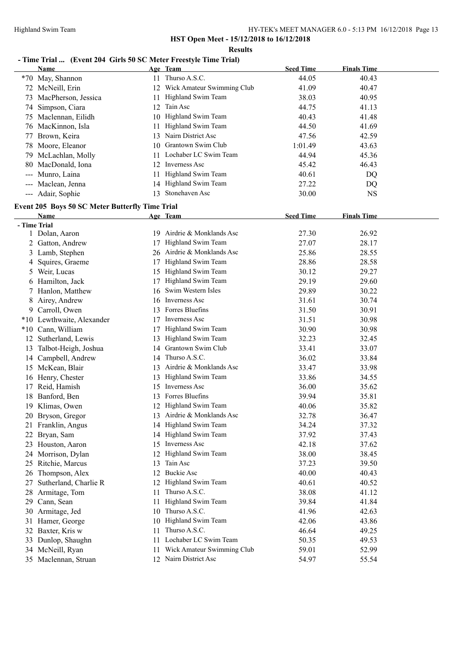**Results**

#### **- Time Trial ... (Event 204 Girls 50 SC Meter Freestyle Time Trial)**

|               | Name                                                   |     | Age Team                      | <b>Seed Time</b> | <b>Finals Time</b> |  |
|---------------|--------------------------------------------------------|-----|-------------------------------|------------------|--------------------|--|
|               | *70 May, Shannon                                       |     | 11 Thurso A.S.C.              | 44.05            | 40.43              |  |
|               | 72 McNeill, Erin                                       |     | 12 Wick Amateur Swimming Club | 41.09            | 40.47              |  |
|               | 73 MacPherson, Jessica                                 | 11. | Highland Swim Team            | 38.03            | 40.95              |  |
|               | 74 Simpson, Ciara                                      |     | 12 Tain Asc                   | 44.75            | 41.13              |  |
|               | 75 Maclennan, Eilidh                                   |     | 10 Highland Swim Team         | 40.43            | 41.48              |  |
|               | 76 MacKinnon, Isla                                     | 11. | Highland Swim Team            | 44.50            | 41.69              |  |
|               | 77 Brown, Keira                                        |     | 13 Nairn District Asc         | 47.56            | 42.59              |  |
|               | 78 Moore, Eleanor                                      |     | 10 Grantown Swim Club         | 1:01.49          | 43.63              |  |
| 79.           | McLachlan, Molly                                       |     | 11 Lochaber LC Swim Team      | 44.94            | 45.36              |  |
| 80            | MacDonald, Iona                                        |     | 12 Inverness Asc              | 45.42            | 46.43              |  |
|               | --- Munro, Laina                                       | 11. | Highland Swim Team            | 40.61            | DQ                 |  |
|               | --- Maclean, Jenna                                     |     | 14 Highland Swim Team         | 27.22            | DQ                 |  |
|               | --- Adair, Sophie                                      | 13  | Stonehaven Asc                | 30.00            | <b>NS</b>          |  |
|               | <b>Event 205 Boys 50 SC Meter Butterfly Time Trial</b> |     |                               |                  |                    |  |
|               | Name                                                   |     | Age Team                      | <b>Seed Time</b> | <b>Finals Time</b> |  |
| - Time Trial  |                                                        |     |                               |                  |                    |  |
|               | 1 Dolan, Aaron                                         |     | 19 Airdrie & Monklands Asc    | 27.30            | 26.92              |  |
|               | 2 Gatton, Andrew                                       | 17  | Highland Swim Team            | 27.07            | 28.17              |  |
|               | 3 Lamb, Stephen                                        |     | 26 Airdrie & Monklands Asc    | 25.86            | 28.55              |  |
| 4             | Squires, Graeme                                        | 17  | Highland Swim Team            | 28.86            | 28.58              |  |
| $\mathcal{L}$ | Weir, Lucas                                            | 15  | Highland Swim Team            | 30.12            | 29.27              |  |
| b             | Hamilton, Jack                                         | 17  | Highland Swim Team            | 29.19            | 29.60              |  |
|               | 7 Hanlon, Matthew                                      | 16  | Swim Western Isles            | 29.89            | 30.22              |  |
| 8             | Airey, Andrew                                          | 16  | Inverness Asc                 | 31.61            | 30.74              |  |
| 9.            | Carroll, Owen                                          |     | 13 Forres Bluefins            | 31.50            | 30.91              |  |
|               | *10 Lewthwaite, Alexander                              | 17  | Inverness Asc                 | 31.51            | 30.98              |  |
|               | *10 Cann, William                                      | 17  | Highland Swim Team            | 30.90            | 30.98              |  |
|               | 12 Sutherland, Lewis                                   | 13  | Highland Swim Team            | 32.23            | 32.45              |  |
| 13            | Talbot-Heigh, Joshua                                   |     | 14 Grantown Swim Club         | 33.41            | 33.07              |  |
|               | 14 Campbell, Andrew                                    |     | 14 Thurso A.S.C.              | 36.02            | 33.84              |  |
|               | 15 McKean, Blair                                       |     | 13 Airdrie & Monklands Asc    | 33.47            | 33.98              |  |
| 16            | Henry, Chester                                         | 13  | Highland Swim Team            | 33.86            | 34.55              |  |
| 17            | Reid, Hamish                                           | 15  | Inverness Asc                 | 36.00            | 35.62              |  |
| 18            | Banford, Ben                                           |     | 13 Forres Bluefins            | 39.94            | 35.81              |  |
| 19            | Klimas, Owen                                           |     | 12 Highland Swim Team         | 40.06            | 35.82              |  |
|               | 20 Bryson, Gregor                                      |     | 13 Airdrie & Monklands Asc    | 32.78            | 36.47              |  |
|               | 21 Franklin, Angus                                     |     | 14 Highland Swim Team         | 34.24            | 37.32              |  |
|               | 22 Bryan, Sam                                          |     | 14 Highland Swim Team         | 37.92            | 37.43              |  |
|               | 23 Houston, Aaron                                      |     | 15 Inverness Asc              | 42.18            | 37.62              |  |
|               | 24 Morrison, Dylan                                     |     | 12 Highland Swim Team         | 38.00            | 38.45              |  |
| 25            | Ritchie, Marcus                                        |     | 13 Tain Asc                   | 37.23            | 39.50              |  |
| 26            | Thompson, Alex                                         |     | 12 Buckie Asc                 | 40.00            | 40.43              |  |
| 27            | Sutherland, Charlie R                                  |     | 12 Highland Swim Team         | 40.61            | 40.52              |  |
| 28            | Armitage, Tom                                          | 11  | Thurso A.S.C.                 | 38.08            | 41.12              |  |
| 29            | Cann, Sean                                             | 11  | Highland Swim Team            | 39.84            | 41.84              |  |
| 30            | Armitage, Jed                                          | 10  | Thurso A.S.C.                 | 41.96            | 42.63              |  |
| 31            | Hamer, George                                          | 10  | Highland Swim Team            | 42.06            | 43.86              |  |
| 32            | Baxter, Kris w                                         | 11  | Thurso A.S.C.                 | 46.64            | 49.25              |  |
| 33            | Dunlop, Shaughn                                        | 11  | Lochaber LC Swim Team         | 50.35            | 49.53              |  |
|               | 34 McNeill, Ryan                                       | 11  | Wick Amateur Swimming Club    | 59.01            | 52.99              |  |
|               | 35 Maclennan, Struan                                   |     | 12 Nairn District Asc         | 54.97            | 55.54              |  |
|               |                                                        |     |                               |                  |                    |  |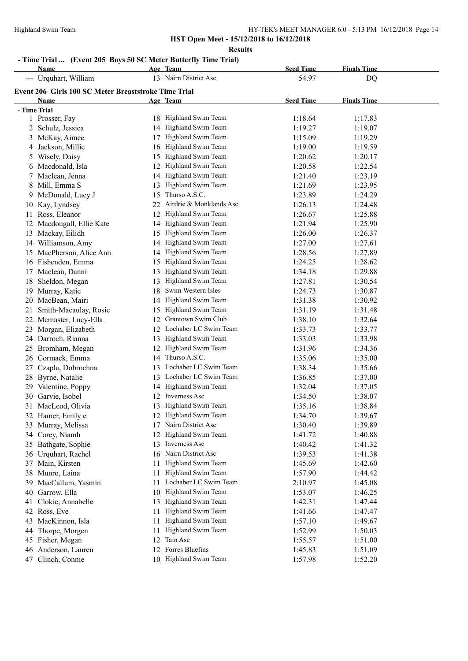#### **Results**

# **- Time Trial ... (Event 205 Boys 50 SC Meter Butterfly Time Trial)**

| Name                                                 |     | Age Team                   | <b>Seed Time</b> | <b>Finals Time</b> |  |
|------------------------------------------------------|-----|----------------------------|------------------|--------------------|--|
| --- Urquhart, William                                |     | 13 Nairn District Asc      | 54.97            | DQ                 |  |
| Event 206 Girls 100 SC Meter Breaststroke Time Trial |     |                            |                  |                    |  |
| Name                                                 |     | Age Team                   | <b>Seed Time</b> | <b>Finals Time</b> |  |
| - Time Trial                                         |     |                            |                  |                    |  |
| 1 Prosser, Fay                                       |     | 18 Highland Swim Team      | 1:18.64          | 1:17.83            |  |
| 2 Schulz, Jessica                                    | 14  | Highland Swim Team         | 1:19.27          | 1:19.07            |  |
| 3 McKay, Aimee                                       | 17  | Highland Swim Team         | 1:15.09          | 1:19.29            |  |
| 4 Jackson, Millie                                    |     | 16 Highland Swim Team      | 1:19.00          | 1:19.59            |  |
| 5 Wisely, Daisy                                      | 15  | Highland Swim Team         | 1:20.62          | 1:20.17            |  |
| 6 Macdonald, Isla                                    | 12  | Highland Swim Team         | 1:20.58          | 1:22.54            |  |
| 7 Maclean, Jenna                                     |     | 14 Highland Swim Team      | 1:21.40          | 1:23.19            |  |
| 8 Mill, Emma S                                       |     | 13 Highland Swim Team      | 1:21.69          | 1:23.95            |  |
| 9 McDonald, Lucy J                                   |     | 15 Thurso A.S.C.           | 1:23.89          | 1:24.29            |  |
| 10 Kay, Lyndsey                                      |     | 22 Airdrie & Monklands Asc | 1:26.13          | 1:24.48            |  |
| 11 Ross, Eleanor                                     |     | 12 Highland Swim Team      | 1:26.67          | 1:25.88            |  |
| 12 Macdougall, Ellie Kate                            |     | 14 Highland Swim Team      | 1:21.94          | 1:25.90            |  |
| 13 Mackay, Eilidh                                    |     | 15 Highland Swim Team      | 1:26.00          | 1:26.37            |  |
| 14 Williamson, Amy                                   |     | 14 Highland Swim Team      | 1:27.00          | 1:27.61            |  |
| 15 MacPherson, Alice Ann                             | 14  | Highland Swim Team         | 1:28.56          | 1:27.89            |  |
| 16 Fishenden, Emma                                   |     | 15 Highland Swim Team      | 1:24.25          | 1:28.62            |  |
| 17 Maclean, Danni                                    | 13  | Highland Swim Team         | 1:34.18          | 1:29.88            |  |
| 18 Sheldon, Megan                                    | 13  | Highland Swim Team         | 1:27.81          | 1:30.54            |  |
| 19 Murray, Katie                                     | 18. | Swim Western Isles         | 1:24.73          | 1:30.87            |  |
| 20 MacBean, Mairi                                    |     | 14 Highland Swim Team      | 1:31.38          | 1:30.92            |  |
| 21 Smith-Macaulay, Rosie                             |     | 15 Highland Swim Team      | 1:31.19          | 1:31.48            |  |
| 22 Mcmaster, Lucy-Ella                               | 12  | Grantown Swim Club         | 1:38.10          | 1:32.64            |  |
| 23 Morgan, Elizabeth                                 |     | 12 Lochaber LC Swim Team   | 1:33.73          | 1:33.77            |  |
| 24 Darroch, Rianna                                   |     | 13 Highland Swim Team      | 1:33.03          | 1:33.98            |  |
| 25 Bromham, Megan                                    |     | 12 Highland Swim Team      | 1:31.96          | 1:34.36            |  |
| 26 Cormack, Emma                                     |     | 14 Thurso A.S.C.           | 1:35.06          | 1:35.00            |  |
| Czapla, Dobrochna<br>27                              |     | 13 Lochaber LC Swim Team   | 1:38.34          | 1:35.66            |  |
| 28 Byrne, Natalie                                    |     | 13 Lochaber LC Swim Team   | 1:36.85          | 1:37.00            |  |
| 29 Valentine, Poppy                                  |     | 14 Highland Swim Team      | 1:32.04          | 1:37.05            |  |
| 30<br>Garvie, Isobel                                 | 12  | Inverness Asc              | 1:34.50          | 1:38.07            |  |
| 31 MacLeod, Olivia                                   |     | Highland Swim Team         | 1:35.16          | 1:38.84            |  |
| 32 Hamer, Emily e                                    |     | 12 Highland Swim Team      | 1:34.70          | 1:39.67            |  |
| 33 Murray, Melissa                                   |     | 17 Nairn District Asc      | 1:30.40          | 1:39.89            |  |
| 34 Carey, Niamh                                      | 12  | Highland Swim Team         | 1:41.72          | 1:40.88            |  |
| 35 Bathgate, Sophie                                  | 13  | Inverness Asc              | 1:40.42          | 1:41.32            |  |
| 36 Urquhart, Rachel                                  | 16  | Nairn District Asc         | 1:39.53          | 1:41.38            |  |
| 37 Main, Kirsten                                     | 11. | Highland Swim Team         | 1:45.69          | 1:42.60            |  |
| 38 Munro, Laina                                      | 11. | Highland Swim Team         | 1:57.90          | 1:44.42            |  |
| 39 MacCallum, Yasmin                                 | 11. | Lochaber LC Swim Team      | 2:10.97          | 1:45.08            |  |
| Garrow, Ella<br>40                                   | 10  | Highland Swim Team         | 1:53.07          | 1:46.25            |  |
| Clokie, Annabelle<br>41                              | 13  | Highland Swim Team         | 1:42.31          | 1:47.44            |  |
| 42 Ross, Eve                                         | 11  | Highland Swim Team         | 1:41.66          | 1:47.47            |  |
| 43 MacKinnon, Isla                                   | 11  | Highland Swim Team         | 1:57.10          | 1:49.67            |  |
| Thorpe, Morgen<br>44                                 | 11  | Highland Swim Team         | 1:52.99          | 1:50.03            |  |
| 45 Fisher, Megan                                     | 12  | Tain Asc                   | 1:55.57          | 1:51.00            |  |
| 46 Anderson, Lauren                                  |     | 12 Forres Bluefins         | 1:45.83          | 1:51.09            |  |
| Clinch, Connie<br>47                                 |     | 10 Highland Swim Team      | 1:57.98          | 1:52.20            |  |
|                                                      |     |                            |                  |                    |  |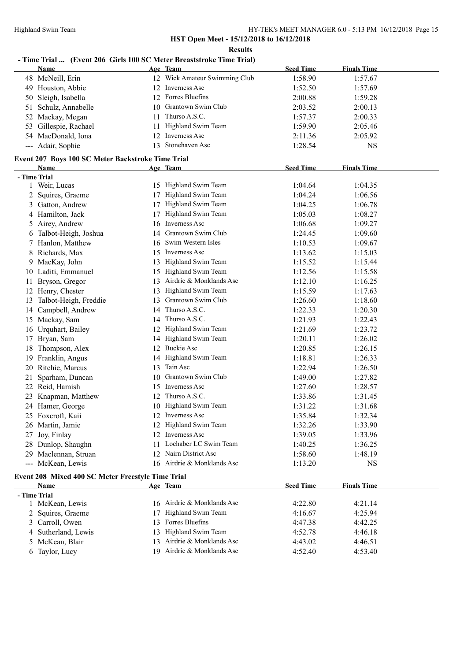# **- Time Trial ... (Event 206 Girls 100 SC Meter Breaststroke Time Trial)**

|              | <b>Name</b>                                               |    | Age Team                      | <b>Seed Time</b>   | <b>Finals Time</b> |  |
|--------------|-----------------------------------------------------------|----|-------------------------------|--------------------|--------------------|--|
|              | 48 McNeill, Erin                                          |    | 12 Wick Amateur Swimming Club | 1:58.90            | 1:57.67            |  |
|              | 49 Houston, Abbie                                         |    | 12 Inverness Asc              | 1:52.50            | 1:57.69            |  |
|              | 50 Sleigh, Isabella                                       |    | 12 Forres Bluefins            | 2:00.88            | 1:59.28            |  |
| 51           | Schulz, Annabelle                                         |    | 10 Grantown Swim Club         | 2:03.52            | 2:00.13            |  |
|              | 52 Mackay, Megan                                          | 11 | Thurso A.S.C.                 | 1:57.37            | 2:00.33            |  |
| 53           | Gillespie, Rachael                                        | 11 | Highland Swim Team            | 1:59.90            | 2:05.46            |  |
|              | 54 MacDonald, Iona                                        | 12 | Inverness Asc                 | 2:11.36            | 2:05.92            |  |
|              | --- Adair, Sophie                                         |    | 13 Stonehaven Asc             | 1:28.54            | <b>NS</b>          |  |
|              |                                                           |    |                               |                    |                    |  |
|              | Event 207 Boys 100 SC Meter Backstroke Time Trial<br>Name |    | Age Team                      | <b>Seed Time</b>   | <b>Finals Time</b> |  |
| - Time Trial |                                                           |    |                               |                    |                    |  |
|              | 1 Weir, Lucas                                             |    | 15 Highland Swim Team         | 1:04.64            | 1:04.35            |  |
| 2            | Squires, Graeme                                           | 17 | Highland Swim Team            | 1:04.24            | 1:06.56            |  |
|              | 3 Gatton, Andrew                                          | 17 | Highland Swim Team            | 1:04.25            | 1:06.78            |  |
|              | 4 Hamilton, Jack                                          |    | 17 Highland Swim Team         | 1:05.03            | 1:08.27            |  |
|              | 5 Airey, Andrew                                           |    | 16 Inverness Asc              | 1:06.68            | 1:09.27            |  |
|              | 6 Talbot-Heigh, Joshua                                    |    | 14 Grantown Swim Club         | 1:24.45            | 1:09.60            |  |
|              | 7 Hanlon, Matthew                                         |    | 16 Swim Western Isles         | 1:10.53            | 1:09.67            |  |
|              | 8 Richards, Max                                           |    | 15 Inverness Asc              | 1:13.62            | 1:15.03            |  |
|              | 9 MacKay, John                                            |    | 13 Highland Swim Team         | 1:15.52            | 1:15.44            |  |
|              | 10 Laditi, Emmanuel                                       |    | 15 Highland Swim Team         | 1:12.56            | 1:15.58            |  |
|              |                                                           |    | 13 Airdrie & Monklands Asc    |                    |                    |  |
|              | 11 Bryson, Gregor                                         |    | 13 Highland Swim Team         | 1:12.10            | 1:16.25            |  |
|              | 12 Henry, Chester                                         |    | 13 Grantown Swim Club         | 1:15.59            | 1:17.63            |  |
| 13           | Talbot-Heigh, Freddie                                     |    | 14 Thurso A.S.C.              | 1:26.60<br>1:22.33 | 1:18.60            |  |
|              | 14 Campbell, Andrew                                       |    | 14 Thurso A.S.C.              |                    | 1:20.30            |  |
|              | 15 Mackay, Sam                                            |    |                               | 1:21.93            | 1:22.43            |  |
|              | 16 Urquhart, Bailey                                       |    | 12 Highland Swim Team         | 1:21.69            | 1:23.72            |  |
|              | 17 Bryan, Sam                                             |    | 14 Highland Swim Team         | 1:20.11            | 1:26.02            |  |
| 18           | Thompson, Alex                                            |    | 12 Buckie Asc                 | 1:20.85            | 1:26.15            |  |
|              | 19 Franklin, Angus                                        |    | 14 Highland Swim Team         | 1:18.81            | 1:26.33            |  |
|              | 20 Ritchie, Marcus                                        |    | 13 Tain Asc                   | 1:22.94            | 1:26.50            |  |
| 21           | Sparham, Duncan                                           |    | 10 Grantown Swim Club         | 1:49.00            | 1:27.82            |  |
|              | 22 Reid, Hamish                                           |    | 15 Inverness Asc              | 1:27.60            | 1:28.57            |  |
|              | 23 Knapman, Matthew                                       |    | 12 Thurso A.S.C.              | 1:33.86            | 1:31.45            |  |
|              | 24 Hamer, George                                          |    | 10 Highland Swim Team         | 1:31.22            | 1:31.68            |  |
|              | 25 Foxcroft, Kaii                                         |    | 12 Inverness Asc              | 1:35.84            | 1:32.34            |  |
|              | 26 Martin, Jamie                                          |    | 12 Highland Swim Team         | 1:32.26            | 1:33.90            |  |
|              | 27 Joy, Finlay                                            |    | 12 Inverness Asc              | 1:39.05            | 1:33.96            |  |
|              | 28 Dunlop, Shaughn                                        | 11 | Lochaber LC Swim Team         | 1:40.25            | 1:36.25            |  |
|              | 29 Maclennan, Struan                                      |    | 12 Nairn District Asc         | 1:58.60            | 1:48.19            |  |
|              | --- McKean, Lewis                                         |    | 16 Airdrie & Monklands Asc    | 1:13.20            | <b>NS</b>          |  |
|              | Event 208 Mixed 400 SC Meter Freestyle Time Trial         |    |                               |                    |                    |  |
|              | Name                                                      |    | Age Team                      | <b>Seed Time</b>   | <b>Finals Time</b> |  |
| - Time Trial |                                                           |    |                               |                    |                    |  |
|              | 1 McKean, Lewis                                           |    | 16 Airdrie & Monklands Asc    | 4:22.80            | 4:21.14            |  |
|              | 2 Squires, Graeme                                         |    | 17 Highland Swim Team         | 4:16.67            | 4:25.94            |  |
|              | 3 Carroll, Owen                                           |    | 13 Forres Bluefins            | 4:47.38            | 4:42.25            |  |
|              | 4 Sutherland, Lewis                                       |    | 13 Highland Swim Team         | 4:52.78            | 4:46.18            |  |
|              | 5 McKean, Blair                                           |    | 13 Airdrie & Monklands Asc    | 4:43.02            | 4:46.51            |  |
|              | 6 Taylor, Lucy                                            |    | 19 Airdrie & Monklands Asc    | 4:52.40            | 4:53.40            |  |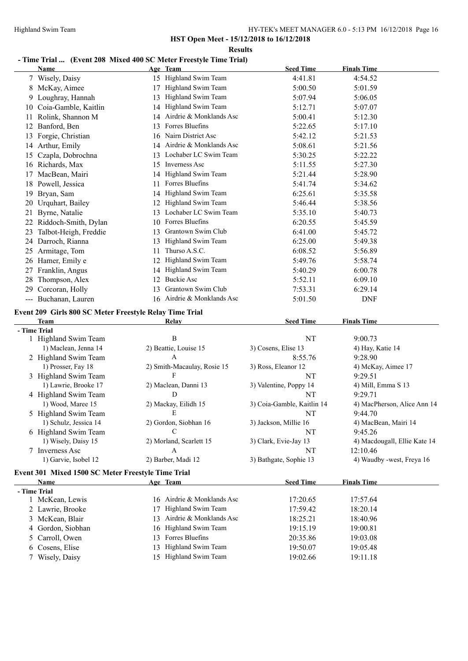**Results**

# **- Time Trial ... (Event 208 Mixed 400 SC Meter Freestyle Time Trial)**

|    | Name                                                    |    | Age Team                                    | <b>Seed Time</b>           | <b>Finals Time</b>           |
|----|---------------------------------------------------------|----|---------------------------------------------|----------------------------|------------------------------|
|    | 7 Wisely, Daisy                                         |    | 15 Highland Swim Team                       | 4:41.81                    | 4:54.52                      |
|    | 8 McKay, Aimee                                          |    | 17 Highland Swim Team                       | 5:00.50                    | 5:01.59                      |
|    | 9 Loughray, Hannah                                      |    | 13 Highland Swim Team                       | 5:07.94                    | 5:06.05                      |
|    | 10 Coia-Gamble, Kaitlin                                 |    | 14 Highland Swim Team                       | 5:12.71                    | 5:07.07                      |
|    | 11 Rolink, Shannon M                                    |    | 14 Airdrie & Monklands Asc                  | 5:00.41                    | 5:12.30                      |
|    | 12 Banford, Ben                                         |    | 13 Forres Bluefins                          | 5:22.65                    | 5:17.10                      |
|    | 13 Forgie, Christian                                    |    | 16 Nairn District Asc                       | 5:42.12                    | 5:21.53                      |
|    | 14 Arthur, Emily                                        |    | 14 Airdrie & Monklands Asc                  | 5:08.61                    | 5:21.56                      |
|    | 15 Czapla, Dobrochna                                    |    | 13 Lochaber LC Swim Team                    | 5:30.25                    | 5:22.22                      |
|    | 16 Richards, Max                                        |    | 15 Inverness Asc                            | 5:11.55                    | 5:27.30                      |
|    | 17 MacBean, Mairi                                       |    | 14 Highland Swim Team                       | 5:21.44                    | 5:28.90                      |
|    | 18 Powell, Jessica                                      |    | 11 Forres Bluefins                          | 5:41.74                    | 5:34.62                      |
|    | 19 Bryan, Sam                                           |    | 14 Highland Swim Team                       | 6:25.61                    | 5:35.58                      |
|    | 20 Urquhart, Bailey                                     |    | 12 Highland Swim Team                       | 5:46.44                    | 5:38.56                      |
|    | 21 Byrne, Natalie                                       |    | 13 Lochaber LC Swim Team                    | 5:35.10                    | 5:40.73                      |
|    | 22 Riddoch-Smith, Dylan                                 |    | 10 Forres Bluefins                          | 6:20.55                    | 5:45.59                      |
|    | 23 Talbot-Heigh, Freddie                                |    | 13 Grantown Swim Club                       | 6:41.00                    | 5:45.72                      |
|    | 24 Darroch, Rianna                                      |    | 13 Highland Swim Team                       | 6:25.00                    | 5:49.38                      |
|    | 25 Armitage, Tom                                        |    | 11 Thurso A.S.C.                            | 6:08.52                    | 5:56.89                      |
|    | 26 Hamer, Emily e                                       |    | 12 Highland Swim Team                       | 5:49.76                    | 5:58.74                      |
|    | 27 Franklin, Angus                                      |    | 14 Highland Swim Team                       | 5:40.29                    | 6:00.78                      |
| 28 | Thompson, Alex                                          |    | 12 Buckie Asc                               | 5:52.11                    | 6:09.10                      |
|    | 29 Corcoran, Holly                                      |    | 13 Grantown Swim Club                       | 7:53.31                    | 6:29.14                      |
|    | --- Buchanan, Lauren                                    |    | 16 Airdrie & Monklands Asc                  | 5:01.50                    | <b>DNF</b>                   |
|    |                                                         |    |                                             |                            |                              |
|    | Event 209 Girls 800 SC Meter Freestyle Relay Time Trial |    |                                             |                            |                              |
|    | <b>Team</b>                                             |    | Relay                                       | <b>Seed Time</b>           | <b>Finals Time</b>           |
|    | - Time Trial                                            |    | $\bf{B}$                                    | NT                         | 9:00.73                      |
|    | 1 Highland Swim Team                                    |    |                                             | 3) Cosens, Elise 13        |                              |
|    | 1) Maclean, Jenna 14                                    |    | 2) Beattie, Louise 15<br>$\mathbf{A}$       | 8:55.76                    | 4) Hay, Katie 14<br>9:28.90  |
|    | 2 Highland Swim Team<br>1) Prosser, Fay 18              |    | 2) Smith-Macaulay, Rosie 15                 |                            | 4) McKay, Aimee 17           |
|    | 3 Highland Swim Team                                    |    | F                                           | 3) Ross, Eleanor 12<br>NT  | 9:29.51                      |
|    | 1) Lawrie, Brooke 17                                    |    |                                             | 3) Valentine, Poppy 14     | 4) Mill, Emma S 13           |
|    | 4 Highland Swim Team                                    |    | 2) Maclean, Danni 13<br>D                   | NT                         | 9:29.71                      |
|    | 1) Wood, Maree 15                                       |    | 2) Mackay, Eilidh 15                        | 3) Coia-Gamble, Kaitlin 14 | 4) MacPherson, Alice Ann 14  |
|    |                                                         |    | E                                           | NT                         | 9:44.70                      |
|    | 5 Highland Swim Team<br>1) Schulz, Jessica 14           |    | 2) Gordon, Siobhan 16                       | 3) Jackson, Millie 16      | 4) MacBean, Mairi 14         |
|    | 6 Highland Swim Team                                    |    | C                                           | NT                         | 9:45.26                      |
|    | 1) Wisely, Daisy 15                                     |    | 2) Morland, Scarlett 15                     | 3) Clark, Evie-Jay 13      | 4) Macdougall, Ellie Kate 14 |
|    | 7 Inverness Asc                                         |    | A                                           | NT                         | 12:10.46                     |
|    | 1) Garvie, Isobel 12                                    |    | 2) Barber, Madi 12                          | 3) Bathgate, Sophie 13     | 4) Waudby -west, Freya 16    |
|    |                                                         |    |                                             |                            |                              |
|    | Event 301 Mixed 1500 SC Meter Freestyle Time Trial      |    |                                             |                            |                              |
|    | Name                                                    |    | Age Team                                    | <b>Seed Time</b>           | <b>Finals Time</b>           |
|    | - Time Trial                                            |    |                                             |                            |                              |
|    | 1 McKean, Lewis                                         |    | 16 Airdrie & Monklands Asc                  | 17:20.65                   | 17:57.64                     |
|    | 2 Lawrie, Brooke                                        | 17 | Highland Swim Team                          | 17:59.42                   | 18:20.14                     |
|    | 3 McKean, Blair                                         |    | 13 Airdrie & Monklands Asc                  | 18:25.21                   | 18:40.96                     |
|    | 4 Gordon, Siobhan<br>5 Carroll, Owen                    |    | 16 Highland Swim Team<br>13 Forres Bluefins | 19:15.19<br>20:35.86       | 19:00.81<br>19:03.08         |
|    |                                                         |    |                                             |                            |                              |

6 Cosens, Elise 13 Highland Swim Team 19:50.07 19:05.48<br>
7 Wisely, Daisy 15 Highland Swim Team 19:02.66 19:11.18

15 Highland Swim Team 19:02.66 19:11.18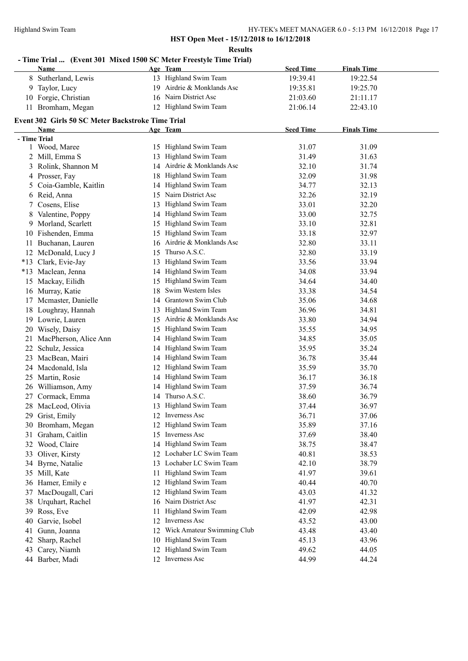|    | Name                                              | - Time Trial  (Event 301 Mixed 1500 SC Meter Freestyle Time Trial)<br>Age Team | <b>Seed Time</b> | <b>Finals Time</b> |  |
|----|---------------------------------------------------|--------------------------------------------------------------------------------|------------------|--------------------|--|
| 8  | Sutherland, Lewis                                 | 13 Highland Swim Team                                                          | 19:39.41         | 19:22.54           |  |
|    | 9 Taylor, Lucy                                    | 19 Airdrie & Monklands Asc                                                     | 19:35.81         | 19:25.70           |  |
|    | 10 Forgie, Christian                              | 16 Nairn District Asc                                                          | 21:03.60         | 21:11.17           |  |
|    | 11 Bromham, Megan                                 | 12 Highland Swim Team                                                          | 21:06.14         | 22:43.10           |  |
|    | Event 302 Girls 50 SC Meter Backstroke Time Trial |                                                                                |                  |                    |  |
|    | Name                                              | Age Team                                                                       | <b>Seed Time</b> | <b>Finals Time</b> |  |
|    | - Time Trial                                      |                                                                                |                  |                    |  |
|    | 1 Wood, Maree                                     | 15 Highland Swim Team                                                          | 31.07            | 31.09              |  |
|    | 2 Mill, Emma S                                    | Highland Swim Team<br>13                                                       | 31.49            | 31.63              |  |
|    | 3 Rolink, Shannon M                               | 14 Airdrie & Monklands Asc                                                     | 32.10            | 31.74              |  |
|    | 4 Prosser, Fay                                    | Highland Swim Team<br>18                                                       | 32.09            | 31.98              |  |
|    | 5 Coia-Gamble, Kaitlin                            | Highland Swim Team<br>14                                                       | 34.77            | 32.13              |  |
|    | 6 Reid, Anna                                      | 15 Nairn District Asc                                                          | 32.26            | 32.19              |  |
| 7. | Cosens, Elise                                     | Highland Swim Team<br>13                                                       | 33.01            | 32.20              |  |
| 8  | Valentine, Poppy                                  | 14 Highland Swim Team                                                          | 33.00            | 32.75              |  |
|    | 9 Morland, Scarlett                               | 15 Highland Swim Team                                                          | 33.10            | 32.81              |  |
|    | 10 Fishenden, Emma                                | 15 Highland Swim Team                                                          | 33.18            | 32.97              |  |
|    | 11 Buchanan, Lauren                               | 16 Airdrie & Monklands Asc                                                     | 32.80            | 33.11              |  |
|    | 12 McDonald, Lucy J                               | 15 Thurso A.S.C.                                                               | 32.80            | 33.19              |  |
|    | *13 Clark, Evie-Jay                               | 13 Highland Swim Team                                                          | 33.56            | 33.94              |  |
|    | *13 Maclean, Jenna                                | 14 Highland Swim Team                                                          | 34.08            | 33.94              |  |
|    | 15 Mackay, Eilidh                                 | Highland Swim Team<br>15                                                       | 34.64            | 34.40              |  |
|    | 16 Murray, Katie                                  | Swim Western Isles<br>18                                                       | 33.38            | 34.54              |  |
|    | 17 Mcmaster, Danielle                             | 14 Grantown Swim Club                                                          | 35.06            | 34.68              |  |
|    | 18 Loughray, Hannah                               | Highland Swim Team<br>13                                                       | 36.96            | 34.81              |  |
|    | 19 Lowrie, Lauren                                 | Airdrie & Monklands Asc<br>15                                                  | 33.80            | 34.94              |  |
|    | 20 Wisely, Daisy                                  | Highland Swim Team<br>15                                                       | 35.55            | 34.95              |  |
| 21 | MacPherson, Alice Ann                             | Highland Swim Team<br>14                                                       | 34.85            | 35.05              |  |
| 22 | Schulz, Jessica                                   | Highland Swim Team<br>14                                                       | 35.95            | 35.24              |  |
|    | 23 MacBean, Mairi                                 | Highland Swim Team<br>14                                                       | 36.78            | 35.44              |  |
|    | 24 Macdonald, Isla                                | 12 Highland Swim Team                                                          | 35.59            | 35.70              |  |
|    | 25 Martin, Rosie                                  | 14 Highland Swim Team                                                          | 36.17            | 36.18              |  |
|    | 26 Williamson, Amy                                | 14 Highland Swim Team                                                          | 37.59            | 36.74              |  |
|    | 27 Cormack, Emma                                  | 14 Thurso A.S.C.                                                               | 38.60            | 36.79              |  |
|    | 28 MacLeod, Olivia                                | 13 Highland Swim Team                                                          | 37.44            | 36.97              |  |
|    | 29 Grist, Emily                                   | 12 Inverness Asc                                                               | 36.71            | 37.06              |  |
|    | 30 Bromham, Megan                                 | Highland Swim Team<br>12                                                       | 35.89            | 37.16              |  |
| 31 | Graham, Caitlin                                   | 15 Inverness Asc                                                               | 37.69            | 38.40              |  |
|    | 32 Wood, Claire                                   | 14 Highland Swim Team                                                          | 38.75            | 38.47              |  |
|    | 33 Oliver, Kirsty                                 | 12 Lochaber LC Swim Team                                                       | 40.81            | 38.53              |  |
|    | 34 Byrne, Natalie                                 | 13 Lochaber LC Swim Team                                                       | 42.10            | 38.79              |  |
|    | 35 Mill, Kate                                     | Highland Swim Team<br>11                                                       | 41.97            | 39.61              |  |
|    | 36 Hamer, Emily e                                 | Highland Swim Team<br>12                                                       | 40.44            | 40.70              |  |
|    | 37 MacDougall, Cari                               | Highland Swim Team<br>12                                                       | 43.03            | 41.32              |  |
| 38 | Urquhart, Rachel                                  | 16 Nairn District Asc                                                          | 41.97            | 42.31              |  |
|    | 39 Ross, Eve                                      | Highland Swim Team<br>11                                                       | 42.09            | 42.98              |  |
| 40 | Garvie, Isobel                                    | 12 Inverness Asc                                                               | 43.52            | 43.00              |  |
| 41 | Gunn, Joanna                                      | 12 Wick Amateur Swimming Club                                                  | 43.48            | 43.40              |  |
|    | 42 Sharp, Rachel                                  | 10 Highland Swim Team                                                          | 45.13            | 43.96              |  |
| 43 | Carey, Niamh                                      | 12 Highland Swim Team                                                          | 49.62            | 44.05              |  |
|    | 44 Barber, Madi                                   | 12 Inverness Asc                                                               | 44.99            | 44.24              |  |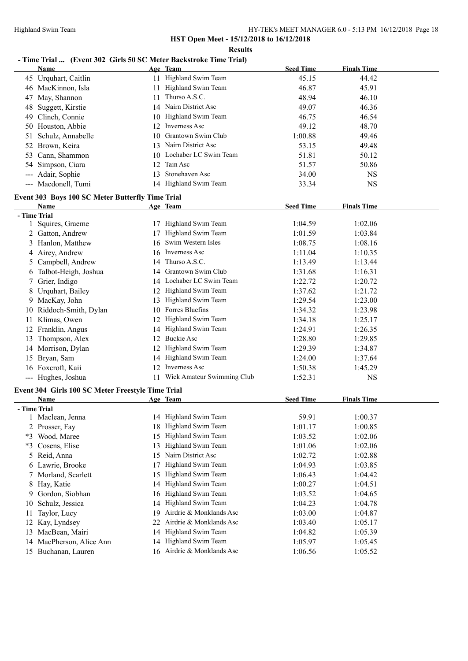#### **Results**

# **- Time Trial ... (Event 302 Girls 50 SC Meter Backstroke Time Trial)**

|              | Name                                              |    | Age Team                      | <b>Seed Time</b> | <b>Finals Time</b> |  |
|--------------|---------------------------------------------------|----|-------------------------------|------------------|--------------------|--|
|              | 45 Urquhart, Caitlin                              |    | 11 Highland Swim Team         | 45.15            | 44.42              |  |
|              | 46 MacKinnon, Isla                                |    | 11 Highland Swim Team         | 46.87            | 45.91              |  |
|              | 47 May, Shannon                                   |    | 11 Thurso A.S.C.              | 48.94            | 46.10              |  |
| 48           | Suggett, Kirstie                                  |    | 14 Nairn District Asc         | 49.07            | 46.36              |  |
| 49           | Clinch, Connie                                    |    | 10 Highland Swim Team         | 46.75            | 46.54              |  |
|              | 50 Houston, Abbie                                 |    | 12 Inverness Asc              | 49.12            | 48.70              |  |
| 51           | Schulz, Annabelle                                 | 10 | Grantown Swim Club            | 1:00.88          | 49.46              |  |
| 52           | Brown, Keira                                      |    | 13 Nairn District Asc         | 53.15            | 49.48              |  |
| 53           | Cann, Shammon                                     |    | 10 Lochaber LC Swim Team      | 51.81            | 50.12              |  |
| 54           | Simpson, Ciara                                    |    | 12 Tain Asc                   | 51.57            | 50.86              |  |
|              | Adair, Sophie                                     | 13 | Stonehaven Asc                | 34.00            | <b>NS</b>          |  |
|              | --- Macdonell, Tumi                               |    | 14 Highland Swim Team         | 33.34            | <b>NS</b>          |  |
|              | Event 303 Boys 100 SC Meter Butterfly Time Trial  |    |                               |                  |                    |  |
|              | Name                                              |    | Age Team                      | <b>Seed Time</b> | <b>Finals Time</b> |  |
| - Time Trial |                                                   |    |                               |                  |                    |  |
|              | 1 Squires, Graeme                                 |    | 17 Highland Swim Team         | 1:04.59          | 1:02.06            |  |
|              | 2 Gatton, Andrew                                  |    | 17 Highland Swim Team         | 1:01.59          | 1:03.84            |  |
|              | 3 Hanlon, Matthew                                 |    | 16 Swim Western Isles         | 1:08.75          | 1:08.16            |  |
|              | 4 Airey, Andrew                                   |    | 16 Inverness Asc              | 1:11.04          | 1:10.35            |  |
|              | 5 Campbell, Andrew                                |    | 14 Thurso A.S.C.              | 1:13.49          | 1:13.44            |  |
|              | 6 Talbot-Heigh, Joshua                            |    | 14 Grantown Swim Club         | 1:31.68          | 1:16.31            |  |
|              | 7 Grier, Indigo                                   |    | 14 Lochaber LC Swim Team      | 1:22.72          | 1:20.72            |  |
|              | 8 Urquhart, Bailey                                |    | 12 Highland Swim Team         | 1:37.62          | 1:21.72            |  |
|              | 9 MacKay, John                                    |    | 13 Highland Swim Team         | 1:29.54          | 1:23.00            |  |
|              | 10 Riddoch-Smith, Dylan                           |    | 10 Forres Bluefins            | 1:34.32          | 1:23.98            |  |
|              | 11 Klimas, Owen                                   |    | 12 Highland Swim Team         | 1:34.18          | 1:25.17            |  |
|              | 12 Franklin, Angus                                |    | 14 Highland Swim Team         | 1:24.91          | 1:26.35            |  |
| 13           | Thompson, Alex                                    |    | 12 Buckie Asc                 | 1:28.80          | 1:29.85            |  |
|              | 14 Morrison, Dylan                                |    | 12 Highland Swim Team         | 1:29.39          | 1:34.87            |  |
|              | 15 Bryan, Sam                                     |    | 14 Highland Swim Team         | 1:24.00          | 1:37.64            |  |
|              | 16 Foxcroft, Kaii                                 |    | 12 Inverness Asc              | 1:50.38          | 1:45.29            |  |
|              | --- Hughes, Joshua                                |    | 11 Wick Amateur Swimming Club | 1:52.31          | <b>NS</b>          |  |
|              | Event 304 Girls 100 SC Meter Freestyle Time Trial |    |                               |                  |                    |  |
|              | Name                                              |    | Age Team                      | <b>Seed Time</b> | <b>Finals Time</b> |  |
| - Time Trial |                                                   |    |                               |                  |                    |  |
|              | 1 Maclean, Jenna                                  |    | 14 Highland Swim Team         | 59.91            | 1:00.37            |  |
|              | 2 Prosser, Fay                                    |    | 18 Highland Swim Team         | 1:01.17          | 1:00.85            |  |
|              | *3 Wood, Maree                                    |    | 15 Highland Swim Team         | 1:03.52          | 1:02.06            |  |
|              | *3 Cosens, Elise                                  | 13 | Highland Swim Team            | 1:01.06          | 1:02.06            |  |
|              | 5 Reid, Anna                                      |    | 15 Nairn District Asc         | 1:02.72          | 1:02.88            |  |
|              | 6 Lawrie, Brooke                                  | 17 | Highland Swim Team            | 1:04.93          | 1:03.85            |  |
|              | 7 Morland, Scarlett                               | 15 | Highland Swim Team            | 1:06.43          | 1:04.42            |  |
|              | 8 Hay, Katie                                      |    | 14 Highland Swim Team         | 1:00.27          | 1:04.51            |  |
| 9            | Gordon, Siobhan                                   |    | 16 Highland Swim Team         | 1:03.52          | 1:04.65            |  |
| 10           | Schulz, Jessica                                   | 14 | Highland Swim Team            | 1:04.23          | 1:04.78            |  |
| 11           | Taylor, Lucy                                      | 19 | Airdrie & Monklands Asc       | 1:03.00          | 1:04.87            |  |
| 12           | Kay, Lyndsey                                      | 22 | Airdrie & Monklands Asc       | 1:03.40          | 1:05.17            |  |
| 13           | MacBean, Mairi                                    |    | 14 Highland Swim Team         | 1:04.82          | 1:05.39            |  |
|              | 14 MacPherson, Alice Ann                          |    | 14 Highland Swim Team         | 1:05.97          | 1:05.45            |  |
|              | 15 Buchanan, Lauren                               |    | 16 Airdrie & Monklands Asc    | 1:06.56          | 1:05.52            |  |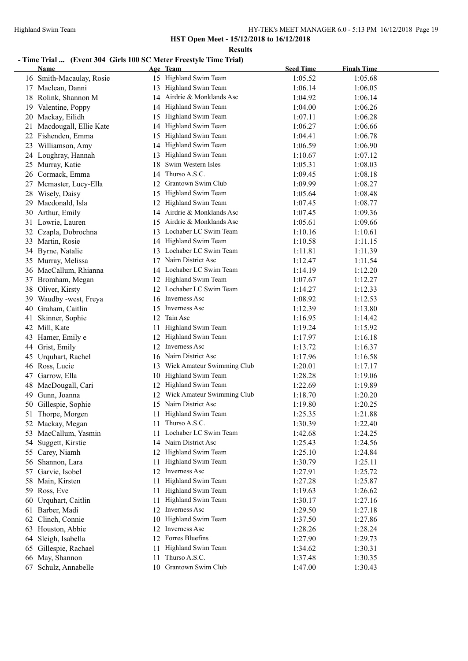**Results**

# **- Time Trial ... (Event 304 Girls 100 SC Meter Freestyle Time Trial)**

|    | <b>Name</b>              |     | Age Team                   | <b>Seed Time</b> | <b>Finals Time</b> |  |
|----|--------------------------|-----|----------------------------|------------------|--------------------|--|
|    | 16 Smith-Macaulay, Rosie |     | 15 Highland Swim Team      | 1:05.52          | 1:05.68            |  |
|    | 17 Maclean, Danni        |     | 13 Highland Swim Team      | 1:06.14          | 1:06.05            |  |
|    | 18 Rolink, Shannon M     |     | 14 Airdrie & Monklands Asc | 1:04.92          | 1:06.14            |  |
|    | 19 Valentine, Poppy      | 14  | Highland Swim Team         | 1:04.00          | 1:06.26            |  |
|    | 20 Mackay, Eilidh        |     | 15 Highland Swim Team      | 1:07.11          | 1:06.28            |  |
| 21 | Macdougall, Ellie Kate   |     | 14 Highland Swim Team      | 1:06.27          | 1:06.66            |  |
| 22 | Fishenden, Emma          | 15  | Highland Swim Team         | 1:04.41          | 1:06.78            |  |
|    | 23 Williamson, Amy       |     | 14 Highland Swim Team      | 1:06.59          | 1:06.90            |  |
|    | 24 Loughray, Hannah      |     | Highland Swim Team         | 1:10.67          | 1:07.12            |  |
|    | 25 Murray, Katie         | 18  | Swim Western Isles         | 1:05.31          | 1:08.03            |  |
|    | 26 Cormack, Emma         | 14  | Thurso A.S.C.              | 1:09.45          | 1:08.18            |  |
|    | 27 Mcmaster, Lucy-Ella   | 12  | Grantown Swim Club         | 1:09.99          | 1:08.27            |  |
|    | 28 Wisely, Daisy         |     | 15 Highland Swim Team      | 1:05.64          | 1:08.48            |  |
|    | 29 Macdonald, Isla       |     | 12 Highland Swim Team      | 1:07.45          | 1:08.77            |  |
|    | 30 Arthur, Emily         |     | 14 Airdrie & Monklands Asc | 1:07.45          | 1:09.36            |  |
|    | 31 Lowrie, Lauren        |     | 15 Airdrie & Monklands Asc | 1:05.61          | 1:09.66            |  |
|    | 32 Czapla, Dobrochna     |     | 13 Lochaber LC Swim Team   | 1:10.16          | 1:10.61            |  |
|    | 33 Martin, Rosie         |     | 14 Highland Swim Team      | 1:10.58          | 1:11.15            |  |
|    | 34 Byrne, Natalie        |     | 13 Lochaber LC Swim Team   | 1:11.81          | 1:11.39            |  |
|    | 35 Murray, Melissa       |     | 17 Nairn District Asc      | 1:12.47          | 1:11.54            |  |
|    | 36 MacCallum, Rhianna    |     | 14 Lochaber LC Swim Team   | 1:14.19          | 1:12.20            |  |
|    | 37 Bromham, Megan        |     | 12 Highland Swim Team      | 1:07.67          | 1:12.27            |  |
|    | 38 Oliver, Kirsty        |     | 12 Lochaber LC Swim Team   | 1:14.27          | 1:12.33            |  |
|    | 39 Waudby -west, Freya   |     | 16 Inverness Asc           | 1:08.92          | 1:12.53            |  |
|    | 40 Graham, Caitlin       |     | 15 Inverness Asc           | 1:12.39          | 1:13.80            |  |
| 41 | Skinner, Sophie          | 12  | Tain Asc                   | 1:16.95          | 1:14.42            |  |
|    | 42 Mill, Kate            | 11  | Highland Swim Team         | 1:19.24          | 1:15.92            |  |
|    | 43 Hamer, Emily e        |     | 12 Highland Swim Team      | 1:17.97          | 1:16.18            |  |
|    | 44 Grist, Emily          |     | 12 Inverness Asc           | 1:13.72          | 1:16.37            |  |
|    | 45 Urquhart, Rachel      | 16  | Nairn District Asc         | 1:17.96          | 1:16.58            |  |
|    | 46 Ross, Lucie           | 13  | Wick Amateur Swimming Club | 1:20.01          | 1:17.17            |  |
| 47 | Garrow, Ella             | 10  | Highland Swim Team         | 1:28.28          | 1:19.06            |  |
| 48 | MacDougall, Cari         | 12  | Highland Swim Team         | 1:22.69          | 1:19.89            |  |
| 49 | Gunn, Joanna             |     | Wick Amateur Swimming Club | 1:18.70          | 1:20.20            |  |
| 50 | Gillespie, Sophie        |     | 15 Nairn District Asc      | 1:19.80          | 1:20.25            |  |
| 51 | Thorpe, Morgen           |     | 11 Highland Swim Team      | 1:25.35          | 1:21.88            |  |
|    | 52 Mackay, Megan         |     | Thurso A.S.C.              | 1:30.39          | 1:22.40            |  |
| 53 | MacCallum, Yasmin        |     | Lochaber LC Swim Team      | 1:42.68          | 1:24.25            |  |
| 54 | Suggett, Kirstie         |     | 14 Nairn District Asc      | 1:25.43          | 1:24.56            |  |
| 55 | Carey, Niamh             |     | 12 Highland Swim Team      | 1:25.10          | 1:24.84            |  |
| 56 | Shannon, Lara            | 11. | Highland Swim Team         | 1:30.79          | 1:25.11            |  |
| 57 | Garvie, Isobel           | 12  | Inverness Asc              | 1:27.91          | 1:25.72            |  |
| 58 | Main, Kirsten            | 11  | Highland Swim Team         | 1:27.28          | 1:25.87            |  |
|    | 59 Ross, Eve             | 11. | Highland Swim Team         | 1:19.63          | 1:26.62            |  |
| 60 | Urquhart, Caitlin        | 11  | Highland Swim Team         | 1:30.17          | 1:27.16            |  |
| 61 | Barber, Madi             | 12  | Inverness Asc              | 1:29.50          | 1:27.18            |  |
| 62 | Clinch, Connie           | 10  | Highland Swim Team         | 1:37.50          | 1:27.86            |  |
| 63 | Houston, Abbie           |     | 12 Inverness Asc           | 1:28.26          | 1:28.24            |  |
| 64 | Sleigh, Isabella         |     | 12 Forres Bluefins         | 1:27.90          | 1:29.73            |  |
| 65 | Gillespie, Rachael       | 11  | Highland Swim Team         | 1:34.62          | 1:30.31            |  |
|    | 66 May, Shannon          | 11  | Thurso A.S.C.              | 1:37.48          | 1:30.35            |  |
|    | 67 Schulz, Annabelle     | 10  | Grantown Swim Club         | 1:47.00          | 1:30.43            |  |
|    |                          |     |                            |                  |                    |  |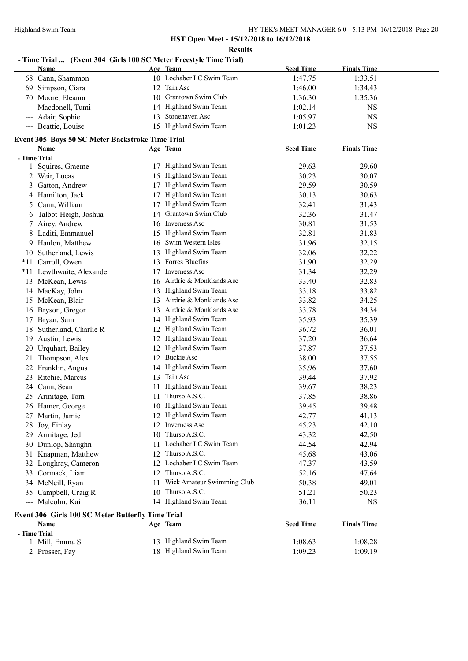# **- Time Trial ... (Event 304 Girls 100 SC Meter Freestyle Time Trial)**

|    | Name                                              |    | Age Team                      | <b>Seed Time</b> | <b>Finals Time</b> |  |
|----|---------------------------------------------------|----|-------------------------------|------------------|--------------------|--|
|    | 68 Cann, Shammon                                  |    | 10 Lochaber LC Swim Team      | 1:47.75          | 1:33.51            |  |
| 69 | Simpson, Ciara                                    | 12 | Tain Asc                      | 1:46.00          | 1:34.43            |  |
|    | 70 Moore, Eleanor                                 |    | 10 Grantown Swim Club         | 1:36.30          | 1:35.36            |  |
|    | Macdonell, Tumi                                   |    | 14 Highland Swim Team         | 1:02.14          | <b>NS</b>          |  |
|    | Adair, Sophie                                     | 13 | Stonehaven Asc                | 1:05.97          | <b>NS</b>          |  |
|    | --- Beattie, Louise                               |    | 15 Highland Swim Team         | 1:01.23          | <b>NS</b>          |  |
|    | Event 305 Boys 50 SC Meter Backstroke Time Trial  |    |                               |                  |                    |  |
|    | Name                                              |    | Age Team                      | <b>Seed Time</b> | <b>Finals Time</b> |  |
|    | - Time Trial                                      |    |                               |                  |                    |  |
|    | 1 Squires, Graeme                                 |    | 17 Highland Swim Team         | 29.63            | 29.60              |  |
|    | 2 Weir, Lucas                                     |    | 15 Highland Swim Team         | 30.23            | 30.07              |  |
|    | 3 Gatton, Andrew                                  | 17 | Highland Swim Team            | 29.59            | 30.59              |  |
|    | 4 Hamilton, Jack                                  | 17 | Highland Swim Team            | 30.13            | 30.63              |  |
|    | 5 Cann, William                                   | 17 | Highland Swim Team            | 32.41            | 31.43              |  |
|    | 6 Talbot-Heigh, Joshua                            |    | 14 Grantown Swim Club         | 32.36            | 31.47              |  |
|    | 7 Airey, Andrew                                   |    | 16 Inverness Asc              | 30.81            | 31.53              |  |
|    | 8 Laditi, Emmanuel                                |    | 15 Highland Swim Team         | 32.81            | 31.83              |  |
|    | 9 Hanlon, Matthew                                 |    | 16 Swim Western Isles         | 31.96            | 32.15              |  |
|    | 10 Sutherland, Lewis                              |    | 13 Highland Swim Team         | 32.06            | 32.22              |  |
|    | *11 Carroll, Owen                                 |    | 13 Forres Bluefins            | 31.90            | 32.29              |  |
|    | *11 Lewthwaite, Alexander                         | 17 | <b>Inverness Asc</b>          | 31.34            | 32.29              |  |
|    | 13 McKean, Lewis                                  |    | 16 Airdrie & Monklands Asc    | 33.40            | 32.83              |  |
|    | 14 MacKay, John                                   |    | 13 Highland Swim Team         | 33.18            | 33.82              |  |
|    | 15 McKean, Blair                                  | 13 | Airdrie & Monklands Asc       | 33.82            | 34.25              |  |
|    |                                                   |    | 13 Airdrie & Monklands Asc    | 33.78            | 34.34              |  |
|    | 16 Bryson, Gregor                                 |    | Highland Swim Team            | 35.93            | 35.39              |  |
| 17 | Bryan, Sam<br>18 Sutherland, Charlie R            | 14 | Highland Swim Team            | 36.72            | 36.01              |  |
|    |                                                   | 12 | 12 Highland Swim Team         |                  |                    |  |
| 19 | Austin, Lewis                                     |    |                               | 37.20            | 36.64              |  |
|    | 20 Urquhart, Bailey                               |    | 12 Highland Swim Team         | 37.87            | 37.53              |  |
| 21 | Thompson, Alex                                    |    | 12 Buckie Asc                 | 38.00            | 37.55              |  |
|    | 22 Franklin, Angus                                |    | 14 Highland Swim Team         | 35.96            | 37.60              |  |
|    | 23 Ritchie, Marcus                                |    | 13 Tain Asc                   | 39.44            | 37.92              |  |
|    | 24 Cann, Sean                                     | 11 | Highland Swim Team            | 39.67            | 38.23              |  |
|    | 25 Armitage, Tom                                  |    | 11 Thurso A.S.C.              | 37.85            | 38.86              |  |
|    | 26 Hamer, George                                  |    | 10 Highland Swim Team         | 39.45            | 39.48              |  |
|    | 27 Martin, Jamie                                  |    | 12 Highland Swim Team         | 42.77            | 41.13              |  |
|    | 28 Joy, Finlay                                    |    | 12 Inverness Asc              | 45.23            | 42.10              |  |
|    | 29 Armitage, Jed                                  |    | 10 Thurso A.S.C.              | 43.32            | 42.50              |  |
|    | 30 Dunlop, Shaughn                                |    | 11 Lochaber LC Swim Team      | 44.54            | 42.94              |  |
|    | 31 Knapman, Matthew                               |    | 12 Thurso A.S.C.              | 45.68            | 43.06              |  |
|    | 32 Loughray, Cameron                              |    | 12 Lochaber LC Swim Team      | 47.37            | 43.59              |  |
|    | 33 Cormack, Liam                                  |    | 12 Thurso A.S.C.              | 52.16            | 47.64              |  |
|    | 34 McNeill, Ryan                                  |    | 11 Wick Amateur Swimming Club | 50.38            | 49.01              |  |
|    | 35 Campbell, Craig R                              |    | 10 Thurso A.S.C.              | 51.21            | 50.23              |  |
|    | --- Malcolm, Kai                                  |    | 14 Highland Swim Team         | 36.11            | <b>NS</b>          |  |
|    | Event 306 Girls 100 SC Meter Butterfly Time Trial |    |                               |                  |                    |  |
|    | Name                                              |    | Age Team                      | <b>Seed Time</b> | <b>Finals Time</b> |  |
|    | - Time Trial                                      |    |                               |                  |                    |  |
|    | 1 Mill, Emma S                                    |    | 13 Highland Swim Team         | 1:08.63          | 1:08.28            |  |
|    | 2 Prosser, Fay                                    |    | 18 Highland Swim Team         | 1:09.23          | 1:09.19            |  |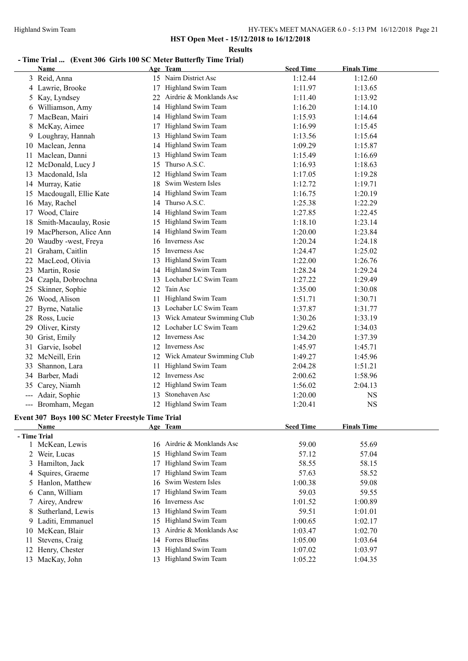**Results**

#### **- Time Trial ... (Event 306 Girls 100 SC Meter Butterfly Time Trial)**

|              | <b>Name</b>                                      |    | Age Team                      | <b>Seed Time</b> | <b>Finals Time</b> |  |
|--------------|--------------------------------------------------|----|-------------------------------|------------------|--------------------|--|
|              | 3 Reid, Anna                                     |    | 15 Nairn District Asc         | 1:12.44          | 1:12.60            |  |
|              | 4 Lawrie, Brooke                                 | 17 | Highland Swim Team            | 1:11.97          | 1:13.65            |  |
| 5            | Kay, Lyndsey                                     | 22 | Airdrie & Monklands Asc       | 1:11.40          | 1:13.92            |  |
| b            | Williamson, Amy                                  | 14 | Highland Swim Team            | 1:16.20          | 1:14.10            |  |
|              | MacBean, Mairi                                   | 14 | Highland Swim Team            | 1:15.93          | 1:14.64            |  |
| 8            | McKay, Aimee                                     | 17 | Highland Swim Team            | 1:16.99          | 1:15.45            |  |
| 9            | Loughray, Hannah                                 | 13 | Highland Swim Team            | 1:13.56          | 1:15.64            |  |
| 10           | Maclean, Jenna                                   |    | 14 Highland Swim Team         | 1:09.29          | 1:15.87            |  |
| 11           | Maclean, Danni                                   | 13 | Highland Swim Team            | 1:15.49          | 1:16.69            |  |
|              | 12 McDonald, Lucy J                              | 15 | Thurso A.S.C.                 | 1:16.93          | 1:18.63            |  |
|              | 13 Macdonald, Isla                               | 12 | Highland Swim Team            | 1:17.05          | 1:19.28            |  |
|              | 14 Murray, Katie                                 |    | 18 Swim Western Isles         | 1:12.72          | 1:19.71            |  |
| 15           | Macdougall, Ellie Kate                           |    | 14 Highland Swim Team         | 1:16.75          | 1:20.19            |  |
| 16           | May, Rachel                                      | 14 | Thurso A.S.C.                 | 1:25.38          | 1:22.29            |  |
| 17           | Wood, Claire                                     | 14 | Highland Swim Team            | 1:27.85          | 1:22.45            |  |
| 18           | Smith-Macaulay, Rosie                            | 15 | Highland Swim Team            | 1:18.10          | 1:23.14            |  |
| 19           | MacPherson, Alice Ann                            | 14 | Highland Swim Team            | 1:20.00          | 1:23.84            |  |
| 20           | Waudby -west, Freya                              |    | 16 Inverness Asc              | 1:20.24          | 1:24.18            |  |
| 21           | Graham, Caitlin                                  |    | 15 Inverness Asc              | 1:24.47          | 1:25.02            |  |
| 22           | MacLeod, Olivia                                  | 13 | Highland Swim Team            | 1:22.00          | 1:26.76            |  |
|              | 23 Martin, Rosie                                 |    | 14 Highland Swim Team         | 1:28.24          | 1:29.24            |  |
|              | 24 Czapla, Dobrochna                             |    | 13 Lochaber LC Swim Team      | 1:27.22          | 1:29.49            |  |
| 25           | Skinner, Sophie                                  |    | 12 Tain Asc                   | 1:35.00          | 1:30.08            |  |
| 26           | Wood, Alison                                     |    | 11 Highland Swim Team         | 1:51.71          | 1:30.71            |  |
| 27           | Byrne, Natalie                                   |    | 13 Lochaber LC Swim Team      | 1:37.87          | 1:31.77            |  |
| 28           | Ross, Lucie                                      |    | 13 Wick Amateur Swimming Club | 1:30.26          | 1:33.19            |  |
| 29           | Oliver, Kirsty                                   |    | 12 Lochaber LC Swim Team      | 1:29.62          | 1:34.03            |  |
| 30           | Grist, Emily                                     |    | 12 Inverness Asc              | 1:34.20          | 1:37.39            |  |
| 31           | Garvie, Isobel                                   | 12 | Inverness Asc                 | 1:45.97          | 1:45.71            |  |
| 32           | McNeill, Erin                                    | 12 | Wick Amateur Swimming Club    | 1:49.27          | 1:45.96            |  |
| 33           | Shannon, Lara                                    | 11 | Highland Swim Team            | 2:04.28          | 1:51.21            |  |
| 34           | Barber, Madi                                     | 12 | Inverness Asc                 | 2:00.62          | 1:58.96            |  |
| 35           | Carey, Niamh                                     | 12 | Highland Swim Team            | 1:56.02          | 2:04.13            |  |
| ---          | Adair, Sophie                                    |    | 13 Stonehaven Asc             | 1:20.00          | NS                 |  |
|              | --- Bromham, Megan                               |    | 12 Highland Swim Team         | 1:20.41          | <b>NS</b>          |  |
|              | Event 307 Boys 100 SC Meter Freestyle Time Trial |    |                               |                  |                    |  |
|              | Name                                             |    | Age Team                      | <b>Seed Time</b> | <b>Finals Time</b> |  |
| - Time Trial |                                                  |    |                               |                  |                    |  |
|              | 1 McKean, Lewis                                  |    | 16 Airdrie & Monklands Asc    | 59.00            | 55.69              |  |
|              | 2 Weir, Lucas                                    | 15 | Highland Swim Team            | 57.12            | 57.04              |  |
|              | 3 Hamilton, Jack                                 | 17 | Highland Swim Team            | 58.55            | 58.15              |  |
|              | 4 Squires, Graeme                                | 17 | Highland Swim Team            | 57.63            | 58.52              |  |
| 5            | Hanlon, Matthew                                  |    | 16 Swim Western Isles         | 1:00.38          | 59.08              |  |
|              | 6 Cann, William                                  |    | 17 Highland Swim Team         | 59.03            | 59.55              |  |

 Airey, Andrew 16 Inverness Asc 1:01.52 1:00.89 Sutherland, Lewis 13 Highland Swim Team 59.51 1:01.01 Laditi, Emmanuel 15 Highland Swim Team 1:00.65 1:02.17 McKean, Blair 13 Airdrie & Monklands Asc 1:03.47 1:02.70 11 Stevens, Craig 14 Forres Bluefins 1:05.00 1:03.64 Henry, Chester 13 Highland Swim Team 1:07.02 1:03.97 MacKay, John 13 Highland Swim Team 1:05.22 1:04.35